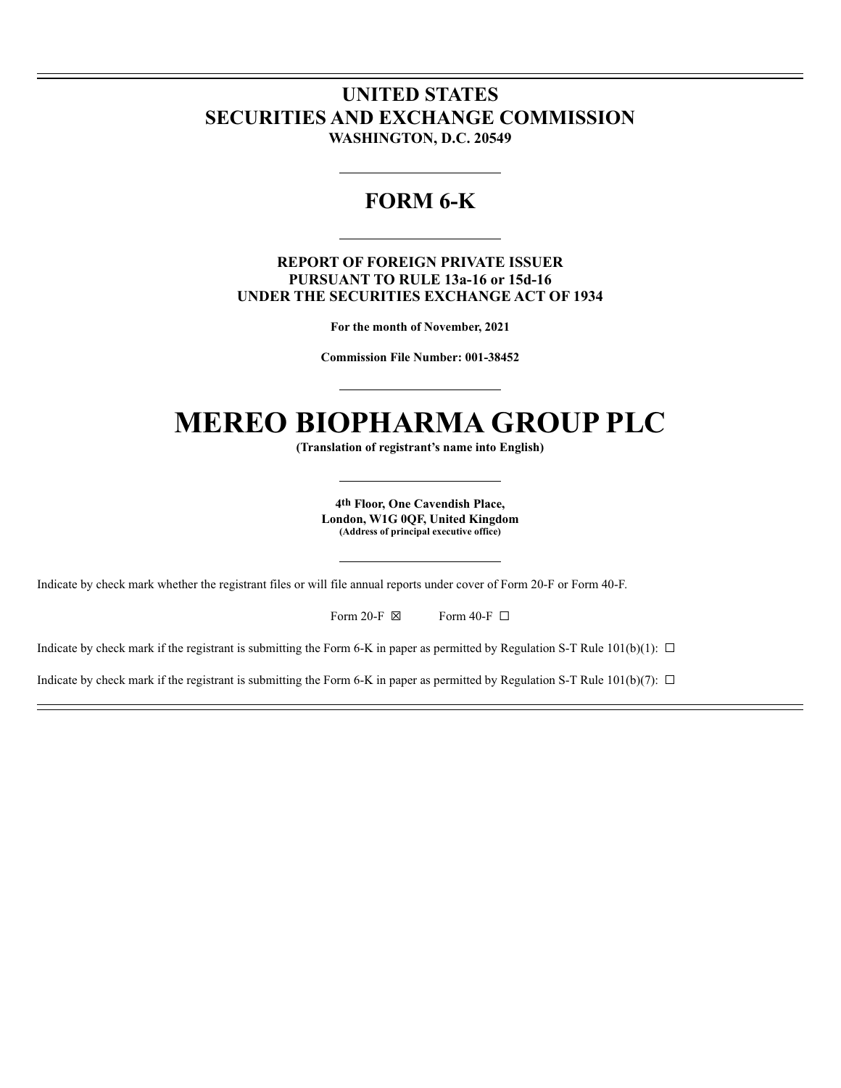# **UNITED STATES SECURITIES AND EXCHANGE COMMISSION WASHINGTON, D.C. 20549**

# **FORM 6-K**

# **REPORT OF FOREIGN PRIVATE ISSUER PURSUANT TO RULE 13a-16 or 15d-16 UNDER THE SECURITIES EXCHANGE ACT OF 1934**

**For the month of November, 2021**

**Commission File Number: 001-38452**

# **MEREO BIOPHARMA GROUP PLC**

**(Translation of registrant's name into English)**

**4th Floor, One Cavendish Place, London, W1G 0QF, United Kingdom (Address of principal executive office)**

Indicate by check mark whether the registrant files or will file annual reports under cover of Form 20-F or Form 40-F.

Form 20-F  $\boxtimes$  Form 40-F  $\Box$ 

Indicate by check mark if the registrant is submitting the Form 6-K in paper as permitted by Regulation S-T Rule  $101(b)(1)$ :  $\Box$ 

Indicate by check mark if the registrant is submitting the Form 6-K in paper as permitted by Regulation S-T Rule  $101(b)(7)$ :  $\Box$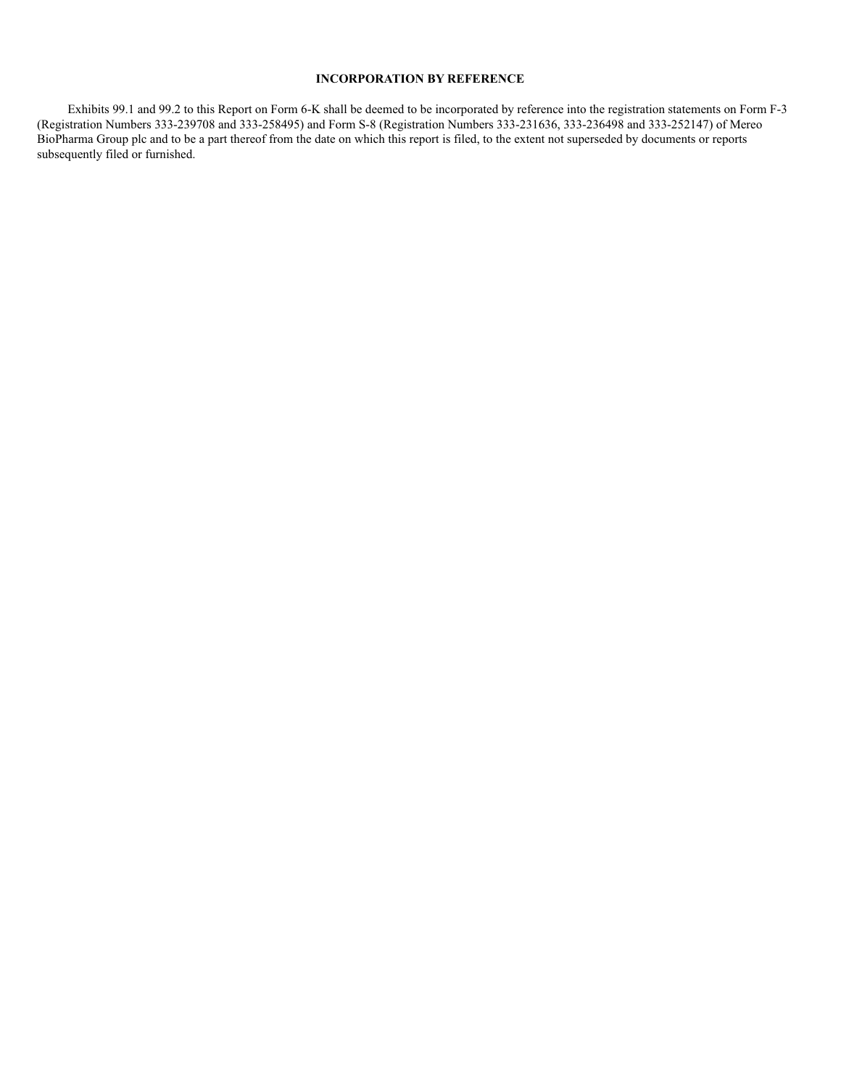# **INCORPORATION BY REFERENCE**

Exhibits 99.1 and 99.2 to this Report on Form 6-K shall be deemed to be incorporated by reference into the registration statements on Form F-3 (Registration Numbers 333-239708 and 333-258495) and Form S-8 (Registration Numbers 333-231636, 333-236498 and 333-252147) of Mereo BioPharma Group plc and to be a part thereof from the date on which this report is filed, to the extent not superseded by documents or reports subsequently filed or furnished.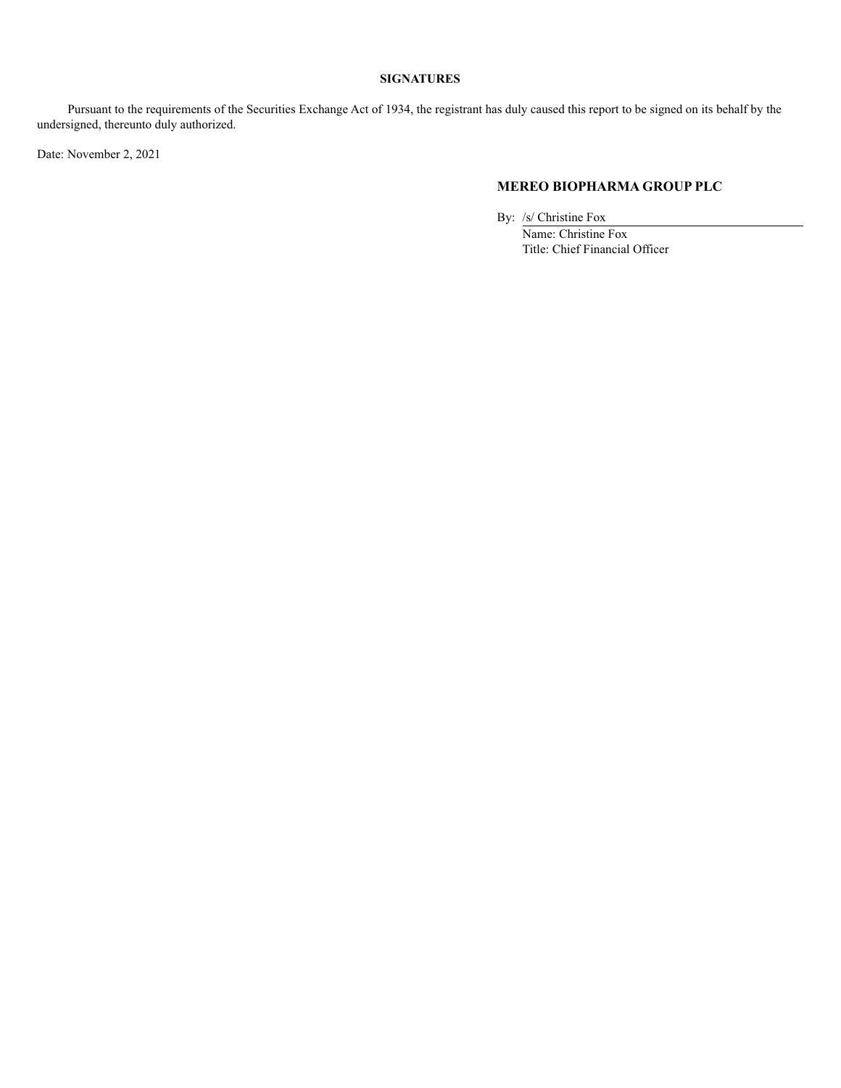# **SIGNATURES**

Pursuant to the requirements of the Securities Exchange Act of 1934, the registrant has duly caused this report to be signed on its behalf by the undersigned, thereunto duly authorized.

Date: November 2, 2021

# **MEREO BIOPHARMA GROUP PLC**

By: /s/ Christine Fox Name: Christine Fox Title: Chief Financial Officer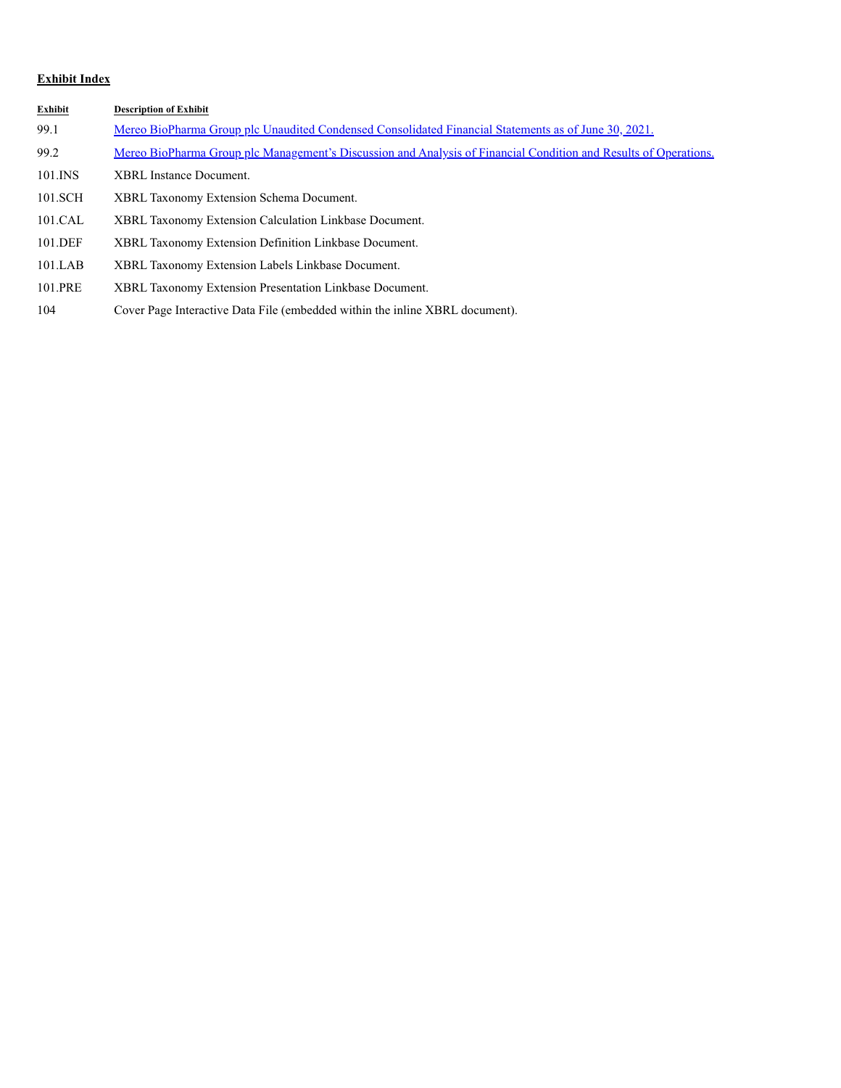# **Exhibit Index**

| Exhibit | <b>Description of Exhibit</b>                                                                                           |
|---------|-------------------------------------------------------------------------------------------------------------------------|
| 99.1    | Mereo BioPharma Group plc Unaudited Condensed Consolidated Financial Statements as of June 30, 2021.                    |
| 99.2    | <u>Mereo BioPharma Group plc Management's Discussion and Analysis of Financial Condition and Results of Operations.</u> |
| 101.INS | <b>XBRL</b> Instance Document.                                                                                          |
| 101.SCH | XBRL Taxonomy Extension Schema Document.                                                                                |
| 101.CAL | XBRL Taxonomy Extension Calculation Linkbase Document.                                                                  |
| 101.DEF | XBRL Taxonomy Extension Definition Linkbase Document.                                                                   |
| 101.LAB | XBRL Taxonomy Extension Labels Linkbase Document.                                                                       |
| 101.PRE | XBRL Taxonomy Extension Presentation Linkbase Document.                                                                 |
|         |                                                                                                                         |

104 Cover Page Interactive Data File (embedded within the inline XBRL document).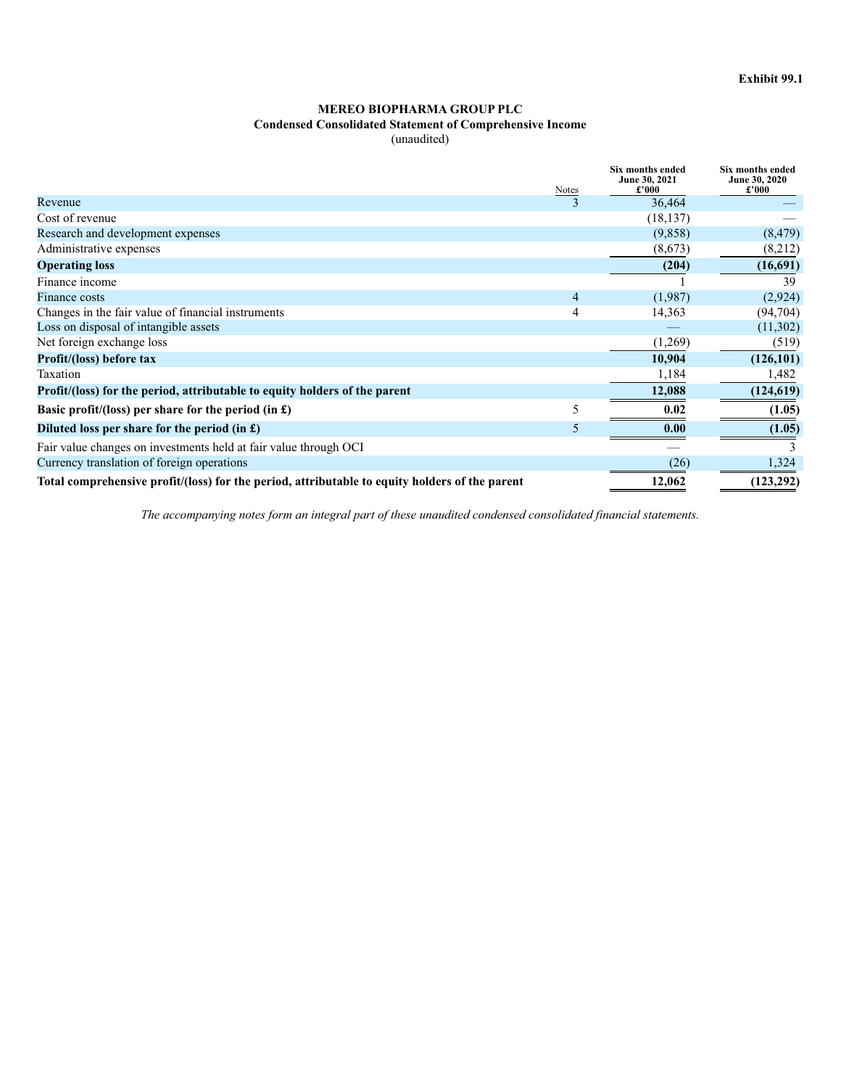# **Condensed Consolidated Statement of Comprehensive Income**

(unaudited)

|                                                                                                | <b>Notes</b>             | <b>Six months ended</b><br>June 30, 2021<br>£'000 | <b>Six months ended</b><br>June 30, 2020<br>£'000 |
|------------------------------------------------------------------------------------------------|--------------------------|---------------------------------------------------|---------------------------------------------------|
| Revenue                                                                                        | $\overline{\mathcal{E}}$ | 36,464                                            |                                                   |
| Cost of revenue                                                                                |                          | (18, 137)                                         |                                                   |
| Research and development expenses                                                              |                          | (9,858)                                           | (8, 479)                                          |
| Administrative expenses                                                                        |                          | (8,673)                                           | (8,212)                                           |
| <b>Operating loss</b>                                                                          |                          | (204)                                             | (16,691)                                          |
| Finance income                                                                                 |                          |                                                   | 39                                                |
| Finance costs                                                                                  | 4                        | (1,987)                                           | (2,924)                                           |
| Changes in the fair value of financial instruments                                             | 4                        | 14,363                                            | (94, 704)                                         |
| Loss on disposal of intangible assets                                                          |                          |                                                   | (11,302)                                          |
| Net foreign exchange loss                                                                      |                          | (1,269)                                           | (519)                                             |
| Profit/(loss) before tax                                                                       |                          | 10,904                                            | (126, 101)                                        |
| Taxation                                                                                       |                          | 1,184                                             | 1,482                                             |
| Profit/(loss) for the period, attributable to equity holders of the parent                     |                          | 12,088                                            | (124, 619)                                        |
| Basic profit/(loss) per share for the period (in $\pounds$ )                                   | 5                        | 0.02                                              | (1.05)                                            |
| Diluted loss per share for the period (in $\pounds$ )                                          | 5                        | 0.00                                              | (1.05)                                            |
| Fair value changes on investments held at fair value through OCI                               |                          |                                                   |                                                   |
| Currency translation of foreign operations                                                     |                          | (26)                                              | 1,324                                             |
| Total comprehensive profit/(loss) for the period, attributable to equity holders of the parent |                          | 12,062                                            | (123, 292)                                        |

*The accompanying notes form an integral part of these unaudited condensed consolidated financial statements.*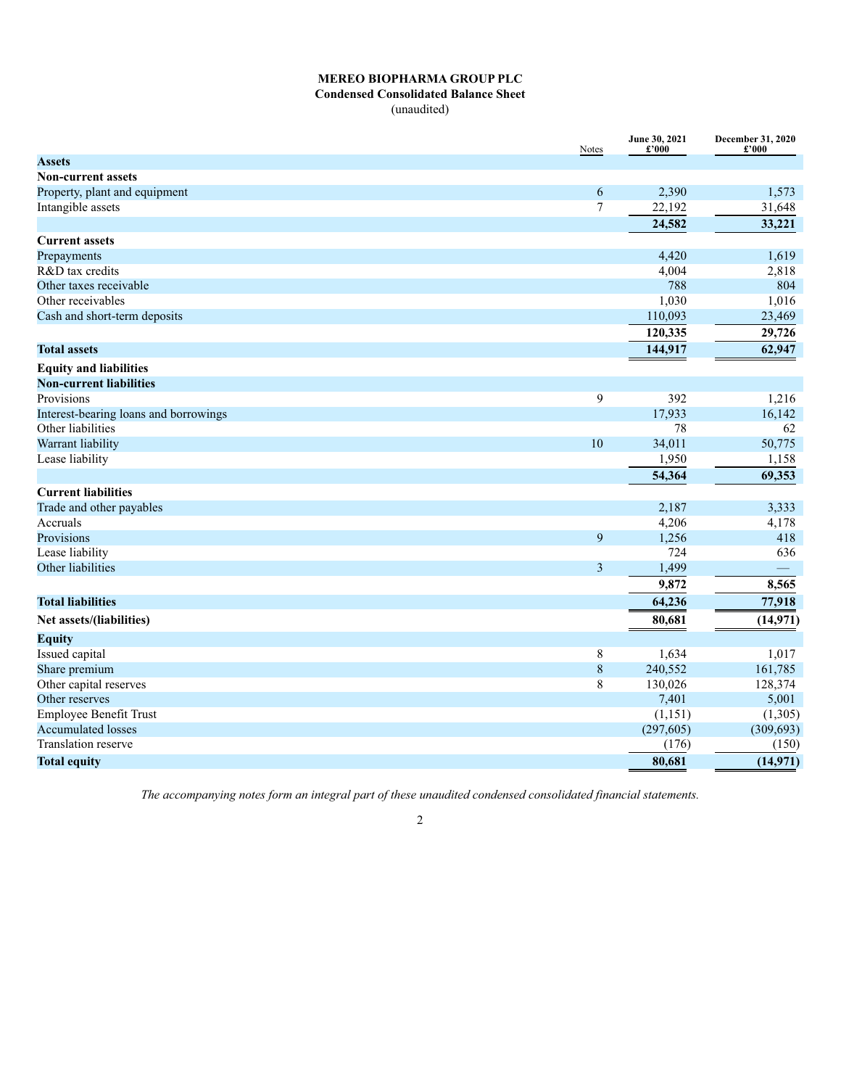## **Condensed Consolidated Balance Sheet**

(unaudited)

|                                       | Notes          | June 30, 2021<br>£'000 | December 31, 2020<br>£'000 |
|---------------------------------------|----------------|------------------------|----------------------------|
| <b>Assets</b>                         |                |                        |                            |
| <b>Non-current assets</b>             |                |                        |                            |
| Property, plant and equipment         | 6              | 2,390                  | 1,573                      |
| Intangible assets                     | 7              | 22,192                 | 31,648                     |
|                                       |                | 24,582                 | 33,221                     |
| <b>Current assets</b>                 |                |                        |                            |
| Prepayments                           |                | 4,420                  | 1,619                      |
| R&D tax credits                       |                | 4,004                  | 2,818                      |
| Other taxes receivable                |                | 788                    | 804                        |
| Other receivables                     |                | 1,030                  | 1,016                      |
| Cash and short-term deposits          |                | 110,093                | 23,469                     |
|                                       |                | 120,335                | 29,726                     |
| <b>Total assets</b>                   |                | 144,917                | 62,947                     |
| <b>Equity and liabilities</b>         |                |                        |                            |
| <b>Non-current liabilities</b>        |                |                        |                            |
| Provisions                            | $\mathbf{9}$   | 392                    | 1,216                      |
| Interest-bearing loans and borrowings |                | 17,933                 | 16,142                     |
| Other liabilities                     |                | 78                     | 62                         |
| Warrant liability                     | 10             | 34,011                 | 50,775                     |
| Lease liability                       |                | 1,950                  | 1,158                      |
|                                       |                | 54,364                 | 69,353                     |
| <b>Current liabilities</b>            |                |                        |                            |
| Trade and other payables              |                | 2,187                  | 3,333                      |
| Accruals                              |                | 4,206                  | 4,178                      |
| Provisions                            | 9              | 1,256                  | 418                        |
| Lease liability                       |                | 724                    | 636                        |
| Other liabilities                     | $\overline{3}$ | 1,499                  |                            |
|                                       |                | 9,872                  | 8,565                      |
| <b>Total liabilities</b>              |                | 64,236                 | 77,918                     |
| Net assets/(liabilities)              |                | 80,681                 | (14, 971)                  |
| <b>Equity</b>                         |                |                        |                            |
| Issued capital                        | 8              | 1,634                  | 1,017                      |
| Share premium                         | $\,$ $\,$      | 240,552                | 161,785                    |
| Other capital reserves                | $\overline{8}$ | 130,026                | 128,374                    |
| Other reserves                        |                | 7,401                  | 5,001                      |
| <b>Employee Benefit Trust</b>         |                | (1, 151)               | (1,305)                    |
| <b>Accumulated losses</b>             |                | (297, 605)             | (309, 693)                 |
| Translation reserve                   |                | (176)                  | (150)                      |
| <b>Total equity</b>                   |                | 80,681                 | (14, 971)                  |

*The accompanying notes form an integral part of these unaudited condensed consolidated financial statements.*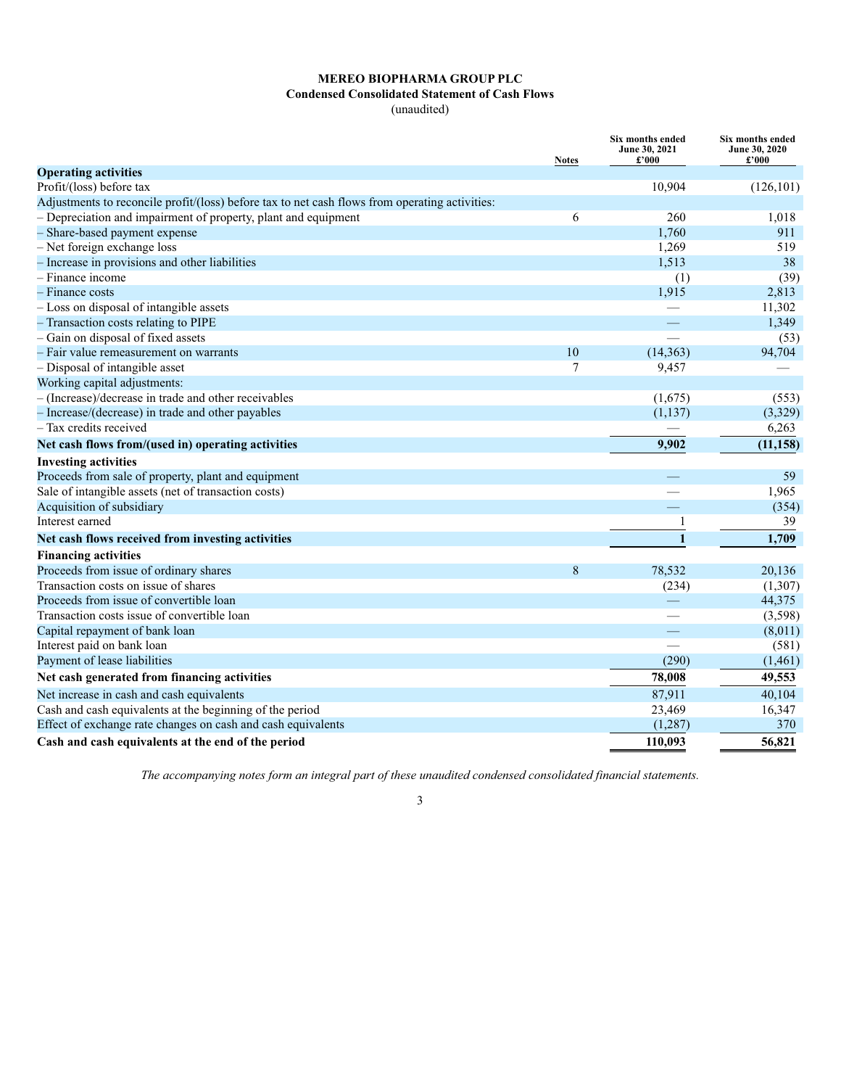# **Condensed Consolidated Statement of Cash Flows**

(unaudited)

|                                                                                                | <b>Notes</b> | Six months ended<br>June 30, 2021<br>£'000 | Six months ended<br><b>June 30, 2020</b><br>£'000 |
|------------------------------------------------------------------------------------------------|--------------|--------------------------------------------|---------------------------------------------------|
| <b>Operating activities</b>                                                                    |              |                                            |                                                   |
| Profit/(loss) before tax                                                                       |              | 10,904                                     | (126, 101)                                        |
| Adjustments to reconcile profit/(loss) before tax to net cash flows from operating activities: |              |                                            |                                                   |
| - Depreciation and impairment of property, plant and equipment                                 | 6            | 260                                        | 1,018                                             |
| - Share-based payment expense                                                                  |              | 1.760                                      | 911                                               |
| - Net foreign exchange loss                                                                    |              | 1,269                                      | 519                                               |
| - Increase in provisions and other liabilities                                                 |              | 1,513                                      | 38                                                |
| - Finance income                                                                               |              | (1)                                        | (39)                                              |
| - Finance costs                                                                                |              | 1,915                                      | 2,813                                             |
| - Loss on disposal of intangible assets                                                        |              |                                            | 11,302                                            |
| - Transaction costs relating to PIPE                                                           |              |                                            | 1,349                                             |
| - Gain on disposal of fixed assets                                                             |              | $\overline{\phantom{a}}$                   | (53)                                              |
| - Fair value remeasurement on warrants                                                         | 10           | (14, 363)                                  | 94,704                                            |
| - Disposal of intangible asset                                                                 | 7            | 9,457                                      |                                                   |
| Working capital adjustments:                                                                   |              |                                            |                                                   |
| - (Increase)/decrease in trade and other receivables                                           |              | (1,675)                                    | (553)                                             |
| - Increase/(decrease) in trade and other payables                                              |              | (1, 137)                                   | (3,329)                                           |
| - Tax credits received                                                                         |              |                                            | 6,263                                             |
| Net cash flows from/(used in) operating activities                                             |              | 9.902                                      | (11, 158)                                         |
| <b>Investing activities</b>                                                                    |              |                                            |                                                   |
| Proceeds from sale of property, plant and equipment                                            |              |                                            | 59                                                |
| Sale of intangible assets (net of transaction costs)                                           |              |                                            | 1,965                                             |
| Acquisition of subsidiary                                                                      |              |                                            | (354)                                             |
| Interest earned                                                                                |              |                                            | 39                                                |
| Net cash flows received from investing activities                                              |              | $\mathbf{1}$                               | 1,709                                             |
| <b>Financing activities</b>                                                                    |              |                                            |                                                   |
| Proceeds from issue of ordinary shares                                                         | 8            | 78,532                                     | 20,136                                            |
| Transaction costs on issue of shares                                                           |              | (234)                                      | (1,307)                                           |
| Proceeds from issue of convertible loan                                                        |              |                                            | 44,375                                            |
| Transaction costs issue of convertible loan                                                    |              |                                            | (3,598)                                           |
| Capital repayment of bank loan                                                                 |              | $\overline{\phantom{0}}$                   | (8,011)                                           |
| Interest paid on bank loan                                                                     |              | $\overline{\phantom{0}}$                   | (581)                                             |
| Payment of lease liabilities                                                                   |              | (290)                                      | (1,461)                                           |
| Net cash generated from financing activities                                                   |              | 78,008                                     | 49,553                                            |
| Net increase in cash and cash equivalents                                                      |              | 87,911                                     | 40,104                                            |
| Cash and cash equivalents at the beginning of the period                                       |              | 23,469                                     | 16,347                                            |
| Effect of exchange rate changes on cash and cash equivalents                                   |              | (1,287)                                    | 370                                               |
| Cash and cash equivalents at the end of the period                                             |              | 110,093                                    | 56,821                                            |

*The accompanying notes form an integral part of these unaudited condensed consolidated financial statements.*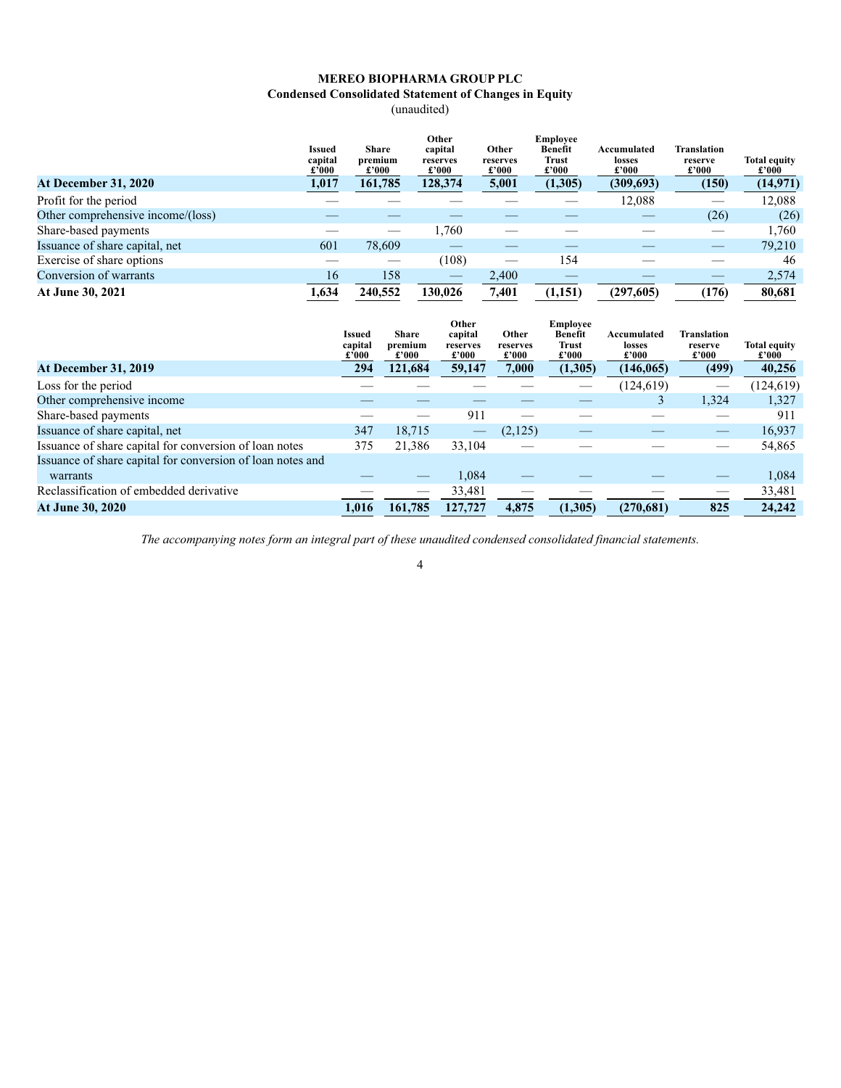# **Condensed Consolidated Statement of Changes in Equity**

(unaudited)

|                                   | <b>Issued</b><br>capital<br>£'000 | <b>Share</b><br>premium<br>£'000 | Other<br>capital<br>reserves<br>$\pmb{\pounds}^{\,\prime}000$ | Other<br>reserves<br>£'000 | <b>Employee</b><br><b>Benefit</b><br>Trust<br>£'000 | Accumulated<br>losses<br>£'000 | Translation<br>reserve<br>$\pounds 000$ | <b>Total equity</b><br>$\pounds 000$ |
|-----------------------------------|-----------------------------------|----------------------------------|---------------------------------------------------------------|----------------------------|-----------------------------------------------------|--------------------------------|-----------------------------------------|--------------------------------------|
| <b>At December 31, 2020</b>       | 1,017                             | 161,785                          | 128,374                                                       | 5,001                      | (1,305)                                             | (309, 693)                     | (150)                                   | (14, 971)                            |
| Profit for the period             |                                   |                                  |                                                               |                            |                                                     | 12,088                         |                                         | 12,088                               |
| Other comprehensive income/(loss) |                                   |                                  |                                                               |                            |                                                     |                                | (26)                                    | (26)                                 |
| Share-based payments              |                                   |                                  | 1.760                                                         |                            |                                                     |                                | $\overline{\phantom{a}}$                | 1,760                                |
| Issuance of share capital, net    | 601                               | 78,609                           |                                                               |                            |                                                     |                                |                                         | 79.210                               |
| Exercise of share options         |                                   |                                  | (108)                                                         |                            | 154                                                 |                                |                                         | 46                                   |
| Conversion of warrants            | 16                                | 158                              |                                                               | 2,400                      |                                                     |                                |                                         | 2,574                                |
| At June 30, 2021                  | 1,634                             | 240,552                          | 130.026                                                       | 7,401                      | (1,151)                                             | (297,605)                      | (176)                                   | 80,681                               |

|                                                            | Issued<br>capital<br>£'000 | <b>Share</b><br>premium<br>£'000 | Other<br>capital<br>reserves<br>£'000 | Other<br>reserves<br>£'000 | <b>Employee</b><br>Benefit<br><b>Trust</b><br>$\pounds 000$ | Accumulated<br>losses<br>$\pounds 000$ | <b>Translation</b><br>reserve<br>£'000 | <b>Total equity</b><br>$\pounds$ '000 |
|------------------------------------------------------------|----------------------------|----------------------------------|---------------------------------------|----------------------------|-------------------------------------------------------------|----------------------------------------|----------------------------------------|---------------------------------------|
| <b>At December 31, 2019</b>                                | 294                        | 121,684                          | 59,147                                | 7,000                      | (1,305)                                                     | (146, 065)                             | (499)                                  | 40,256                                |
| Loss for the period                                        |                            |                                  |                                       |                            |                                                             | (124, 619)                             |                                        | (124, 619)                            |
| Other comprehensive income                                 |                            |                                  |                                       |                            |                                                             |                                        | 1,324                                  | 1,327                                 |
| Share-based payments                                       |                            |                                  | 911                                   |                            |                                                             |                                        |                                        | 911                                   |
| Issuance of share capital, net                             | 347                        | 18,715                           |                                       | (2,125)                    |                                                             |                                        | $\qquad \qquad$                        | 16,937                                |
| Issuance of share capital for conversion of loan notes     | 375                        | 21,386                           | 33,104                                |                            |                                                             |                                        |                                        | 54,865                                |
| Issuance of share capital for conversion of loan notes and |                            |                                  |                                       |                            |                                                             |                                        |                                        |                                       |
| warrants                                                   |                            |                                  | 1,084                                 |                            |                                                             |                                        |                                        | 1,084                                 |
| Reclassification of embedded derivative                    |                            | __                               | 33,481                                |                            |                                                             |                                        |                                        | 33,481                                |
| <b>At June 30, 2020</b>                                    | 1.016                      | 161,785                          | 127,727                               | 4,875                      | (1,305)                                                     | (270,681)                              | 825                                    | 24,242                                |

*The accompanying notes form an integral part of these unaudited condensed consolidated financial statements.*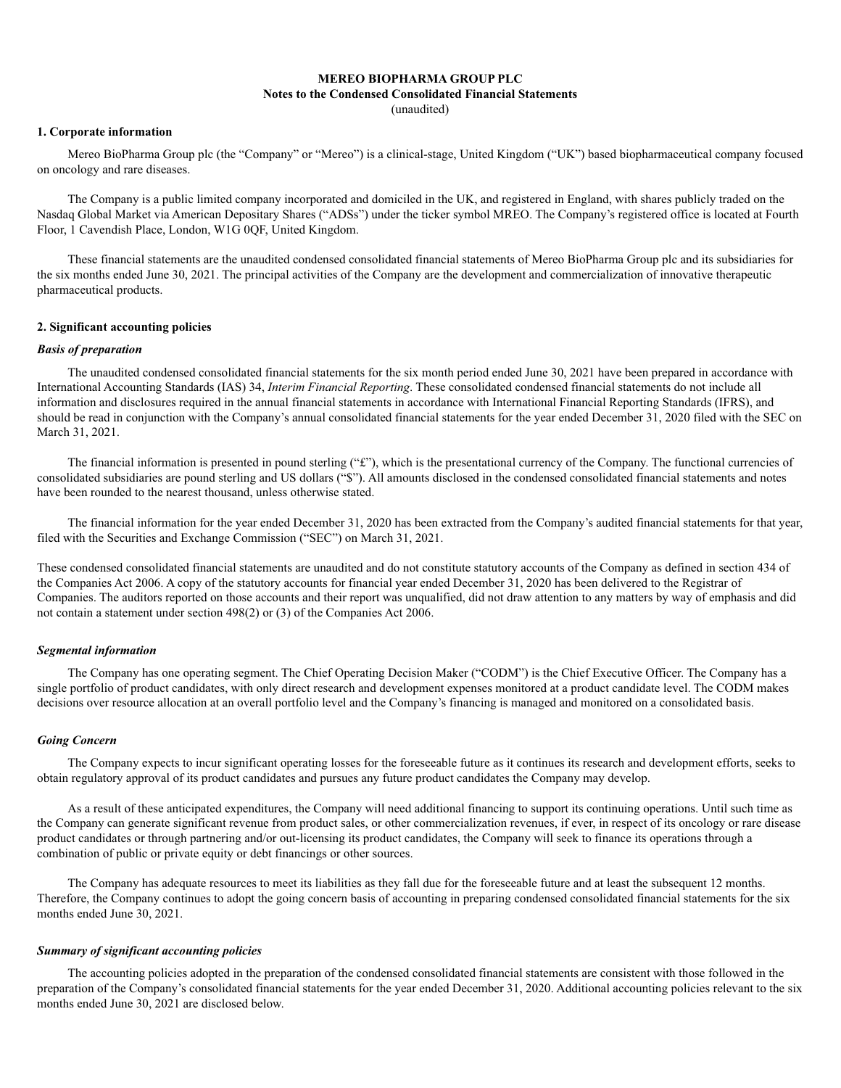#### **Notes to the Condensed Consolidated Financial Statements**

(unaudited)

#### **1. Corporate information**

Mereo BioPharma Group plc (the "Company" or "Mereo") is a clinical-stage, United Kingdom ("UK") based biopharmaceutical company focused on oncology and rare diseases.

The Company is a public limited company incorporated and domiciled in the UK, and registered in England, with shares publicly traded on the Nasdaq Global Market via American Depositary Shares ("ADSs") under the ticker symbol MREO. The Company's registered office is located at Fourth Floor, 1 Cavendish Place, London, W1G 0QF, United Kingdom.

These financial statements are the unaudited condensed consolidated financial statements of Mereo BioPharma Group plc and its subsidiaries for the six months ended June 30, 2021. The principal activities of the Company are the development and commercialization of innovative therapeutic pharmaceutical products.

#### **2. Significant accounting policies**

#### *Basis of preparation*

The unaudited condensed consolidated financial statements for the six month period ended June 30, 2021 have been prepared in accordance with International Accounting Standards (IAS) 34, *Interim Financial Reporting*. These consolidated condensed financial statements do not include all information and disclosures required in the annual financial statements in accordance with International Financial Reporting Standards (IFRS), and should be read in conjunction with the Company's annual consolidated financial statements for the year ended December 31, 2020 filed with the SEC on March 31, 2021.

The financial information is presented in pound sterling  $("£")$ , which is the presentational currency of the Company. The functional currencies of consolidated subsidiaries are pound sterling and US dollars ("\$"). All amounts disclosed in the condensed consolidated financial statements and notes have been rounded to the nearest thousand, unless otherwise stated.

The financial information for the year ended December 31, 2020 has been extracted from the Company's audited financial statements for that year, filed with the Securities and Exchange Commission ("SEC") on March 31, 2021.

These condensed consolidated financial statements are unaudited and do not constitute statutory accounts of the Company as defined in section 434 of the Companies Act 2006. A copy of the statutory accounts for financial year ended December 31, 2020 has been delivered to the Registrar of Companies. The auditors reported on those accounts and their report was unqualified, did not draw attention to any matters by way of emphasis and did not contain a statement under section 498(2) or (3) of the Companies Act 2006.

#### *Segmental information*

The Company has one operating segment. The Chief Operating Decision Maker ("CODM") is the Chief Executive Officer. The Company has a single portfolio of product candidates, with only direct research and development expenses monitored at a product candidate level. The CODM makes decisions over resource allocation at an overall portfolio level and the Company's financing is managed and monitored on a consolidated basis.

#### *Going Concern*

The Company expects to incur significant operating losses for the foreseeable future as it continues its research and development efforts, seeks to obtain regulatory approval of its product candidates and pursues any future product candidates the Company may develop.

As a result of these anticipated expenditures, the Company will need additional financing to support its continuing operations. Until such time as the Company can generate significant revenue from product sales, or other commercialization revenues, if ever, in respect of its oncology or rare disease product candidates or through partnering and/or out-licensing its product candidates, the Company will seek to finance its operations through a combination of public or private equity or debt financings or other sources.

The Company has adequate resources to meet its liabilities as they fall due for the foreseeable future and at least the subsequent 12 months. Therefore, the Company continues to adopt the going concern basis of accounting in preparing condensed consolidated financial statements for the six months ended June 30, 2021.

#### *Summary of significant accounting policies*

The accounting policies adopted in the preparation of the condensed consolidated financial statements are consistent with those followed in the preparation of the Company's consolidated financial statements for the year ended December 31, 2020. Additional accounting policies relevant to the six months ended June 30, 2021 are disclosed below.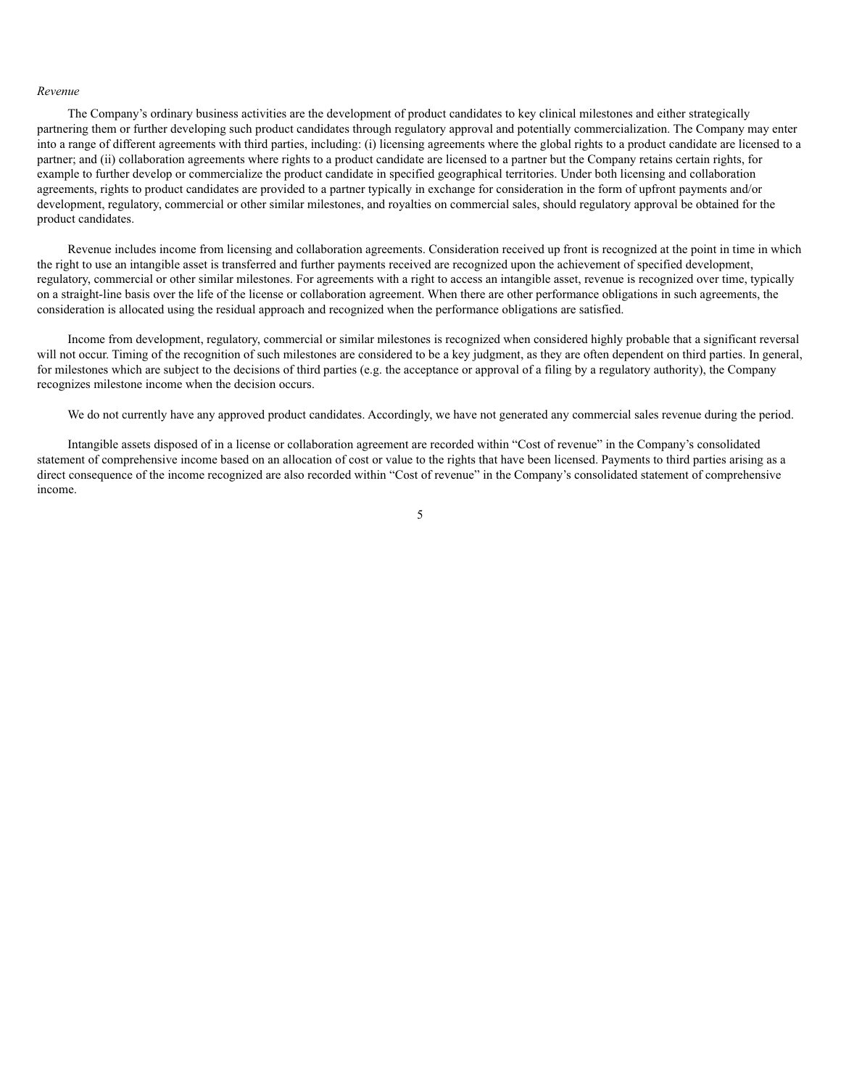#### *Revenue*

The Company's ordinary business activities are the development of product candidates to key clinical milestones and either strategically partnering them or further developing such product candidates through regulatory approval and potentially commercialization. The Company may enter into a range of different agreements with third parties, including: (i) licensing agreements where the global rights to a product candidate are licensed to a partner; and (ii) collaboration agreements where rights to a product candidate are licensed to a partner but the Company retains certain rights, for example to further develop or commercialize the product candidate in specified geographical territories. Under both licensing and collaboration agreements, rights to product candidates are provided to a partner typically in exchange for consideration in the form of upfront payments and/or development, regulatory, commercial or other similar milestones, and royalties on commercial sales, should regulatory approval be obtained for the product candidates.

Revenue includes income from licensing and collaboration agreements. Consideration received up front is recognized at the point in time in which the right to use an intangible asset is transferred and further payments received are recognized upon the achievement of specified development, regulatory, commercial or other similar milestones. For agreements with a right to access an intangible asset, revenue is recognized over time, typically on a straight-line basis over the life of the license or collaboration agreement. When there are other performance obligations in such agreements, the consideration is allocated using the residual approach and recognized when the performance obligations are satisfied.

Income from development, regulatory, commercial or similar milestones is recognized when considered highly probable that a significant reversal will not occur. Timing of the recognition of such milestones are considered to be a key judgment, as they are often dependent on third parties. In general, for milestones which are subject to the decisions of third parties (e.g. the acceptance or approval of a filing by a regulatory authority), the Company recognizes milestone income when the decision occurs.

We do not currently have any approved product candidates. Accordingly, we have not generated any commercial sales revenue during the period.

Intangible assets disposed of in a license or collaboration agreement are recorded within "Cost of revenue" in the Company's consolidated statement of comprehensive income based on an allocation of cost or value to the rights that have been licensed. Payments to third parties arising as a direct consequence of the income recognized are also recorded within "Cost of revenue" in the Company's consolidated statement of comprehensive income.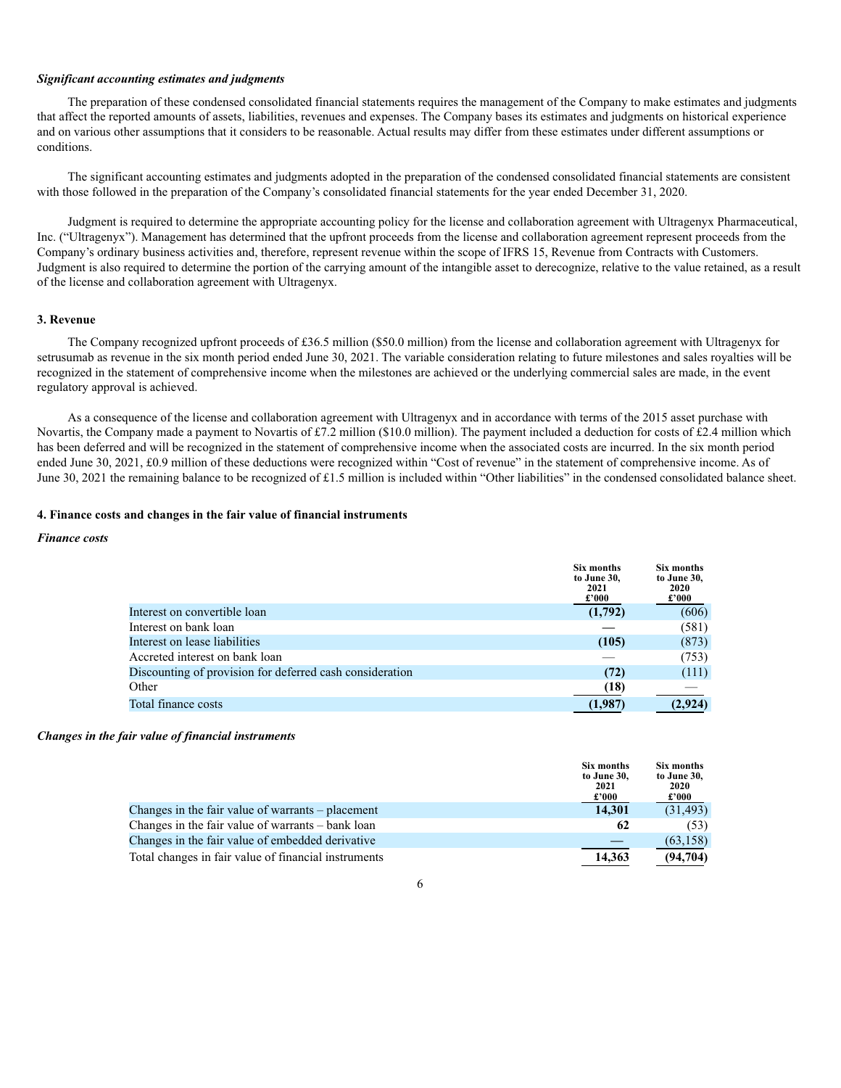#### *Significant accounting estimates and judgments*

The preparation of these condensed consolidated financial statements requires the management of the Company to make estimates and judgments that affect the reported amounts of assets, liabilities, revenues and expenses. The Company bases its estimates and judgments on historical experience and on various other assumptions that it considers to be reasonable. Actual results may differ from these estimates under different assumptions or conditions.

The significant accounting estimates and judgments adopted in the preparation of the condensed consolidated financial statements are consistent with those followed in the preparation of the Company's consolidated financial statements for the year ended December 31, 2020.

Judgment is required to determine the appropriate accounting policy for the license and collaboration agreement with Ultragenyx Pharmaceutical, Inc. ("Ultragenyx"). Management has determined that the upfront proceeds from the license and collaboration agreement represent proceeds from the Company's ordinary business activities and, therefore, represent revenue within the scope of IFRS 15, Revenue from Contracts with Customers. Judgment is also required to determine the portion of the carrying amount of the intangible asset to derecognize, relative to the value retained, as a result of the license and collaboration agreement with Ultragenyx.

#### **3. Revenue**

The Company recognized upfront proceeds of £36.5 million (\$50.0 million) from the license and collaboration agreement with Ultragenyx for setrusumab as revenue in the six month period ended June 30, 2021. The variable consideration relating to future milestones and sales royalties will be recognized in the statement of comprehensive income when the milestones are achieved or the underlying commercial sales are made, in the event regulatory approval is achieved.

As a consequence of the license and collaboration agreement with Ultragenyx and in accordance with terms of the 2015 asset purchase with Novartis, the Company made a payment to Novartis of £7.2 million (\$10.0 million). The payment included a deduction for costs of £2.4 million which has been deferred and will be recognized in the statement of comprehensive income when the associated costs are incurred. In the six month period ended June 30, 2021, £0.9 million of these deductions were recognized within "Cost of revenue" in the statement of comprehensive income. As of June 30, 2021 the remaining balance to be recognized of £1.5 million is included within "Other liabilities" in the condensed consolidated balance sheet.

#### **4. Finance costs and changes in the fair value of financial instruments**

#### *Finance costs*

|                                                          | Six months<br>to June 30,<br>2021<br>$\pounds 000$ | Six months<br>to June 30,<br>2020<br>$\pounds 000$ |
|----------------------------------------------------------|----------------------------------------------------|----------------------------------------------------|
| Interest on convertible loan                             | (1,792)                                            | (606)                                              |
| Interest on bank loan                                    |                                                    | (581)                                              |
| Interest on lease liabilities                            | (105)                                              | (873)                                              |
| Accreted interest on bank loan                           |                                                    | (753)                                              |
| Discounting of provision for deferred cash consideration | (72)                                               | (111)                                              |
| Other                                                    | (18)                                               |                                                    |
| Total finance costs                                      | (1,987)                                            | (2,924)                                            |

#### *Changes in the fair value of financial instruments*

|                                                      | Six months<br>to June 30,<br>2021<br>$\pounds 000$ | <b>Six months</b><br>to June 30,<br>2020<br>$\pounds 000$ |
|------------------------------------------------------|----------------------------------------------------|-----------------------------------------------------------|
| Changes in the fair value of warrants $-$ placement  | 14,301                                             | (31, 493)                                                 |
| Changes in the fair value of warrants – bank loan    | 62                                                 | (53)                                                      |
| Changes in the fair value of embedded derivative     |                                                    | (63, 158)                                                 |
| Total changes in fair value of financial instruments | 14,363                                             | (94,704)                                                  |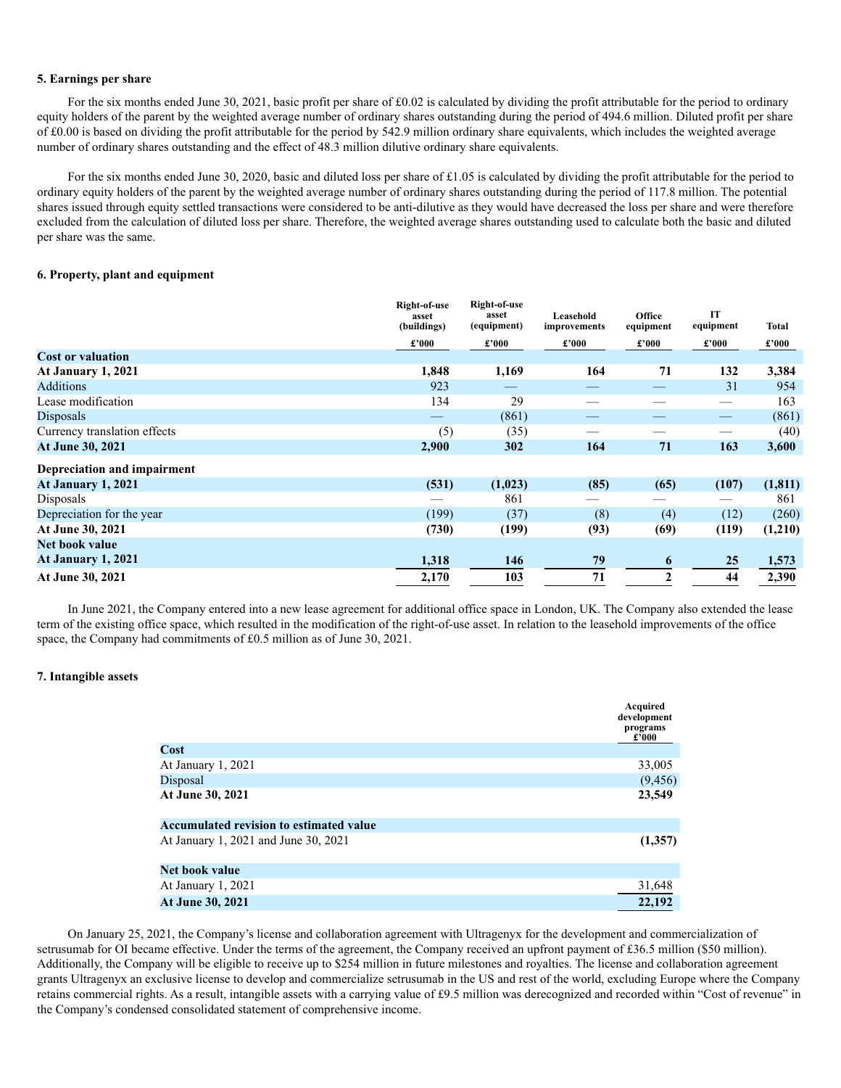#### **5. Earnings per share**

For the six months ended June 30, 2021, basic profit per share of £0.02 is calculated by dividing the profit attributable for the period to ordinary equity holders of the parent by the weighted average number of ordinary shares outstanding during the period of 494.6 million. Diluted profit per share of £0.00 is based on dividing the profit attributable for the period by 542.9 million ordinary share equivalents, which includes the weighted average number of ordinary shares outstanding and the effect of 48.3 million dilutive ordinary share equivalents.

For the six months ended June 30, 2020, basic and diluted loss per share of £1.05 is calculated by dividing the profit attributable for the period to ordinary equity holders of the parent by the weighted average number of ordinary shares outstanding during the period of 117.8 million. The potential shares issued through equity settled transactions were considered to be anti-dilutive as they would have decreased the loss per share and were therefore excluded from the calculation of diluted loss per share. Therefore, the weighted average shares outstanding used to calculate both the basic and diluted per share was the same.

#### **6. Property, plant and equipment**

|                              | Right-of-use<br>asset<br>(buildings) | Right-of-use<br>asset<br>(equipment) | Leasehold<br>improvements     | Office<br>equipment | IT<br>equipment                   | Total                            |
|------------------------------|--------------------------------------|--------------------------------------|-------------------------------|---------------------|-----------------------------------|----------------------------------|
|                              | £'000                                | £'000                                | $\pmb{\pounds}^{\,\prime}000$ | £'000               | $\pmb{\pounds}^{\pmb{\cdot}} 000$ | $\pmb{\pounds}^{\pmb{\cdot}}000$ |
| <b>Cost or valuation</b>     |                                      |                                      |                               |                     |                                   |                                  |
| At January 1, 2021           | 1,848                                | 1,169                                | 164                           | 71                  | 132                               | 3,384                            |
| <b>Additions</b>             | 923                                  |                                      |                               |                     | 31                                | 954                              |
| Lease modification           | 134                                  | 29                                   |                               |                     |                                   | 163                              |
| Disposals                    |                                      | (861)                                |                               |                     | $\hspace{0.05cm}$                 | (861)                            |
| Currency translation effects | (5)                                  | (35)                                 |                               |                     |                                   | (40)                             |
| At June 30, 2021             | 2,900                                | 302                                  | 164                           | 71                  | 163                               | 3,600                            |
| Depreciation and impairment  |                                      |                                      |                               |                     |                                   |                                  |
| At January 1, 2021           | (531)                                | (1,023)                              | (85)                          | (65)                | (107)                             | (1, 811)                         |
| Disposals                    |                                      | 861                                  |                               |                     |                                   | 861                              |
| Depreciation for the year    | (199)                                | (37)                                 | (8)                           | (4)                 | (12)                              | (260)                            |
| At June 30, 2021             | (730)                                | (199)                                | (93)                          | (69)                | (119)                             | (1,210)                          |
| Net book value               |                                      |                                      |                               |                     |                                   |                                  |
| At January 1, 2021           | 1,318                                | 146                                  | 79                            | 6                   | 25                                | 1,573                            |
| At June 30, 2021             | 2,170                                | 103                                  | 71                            | $\mathbf{2}$        | 44                                | 2,390                            |

In June 2021, the Company entered into a new lease agreement for additional office space in London, UK. The Company also extended the lease term of the existing office space, which resulted in the modification of the right-of-use asset. In relation to the leasehold improvements of the office space, the Company had commitments of £0.5 million as of June 30, 2021.

## **7. Intangible assets**

|                                         | Acquired<br>development<br>programs<br>£'000 |
|-----------------------------------------|----------------------------------------------|
| Cost                                    |                                              |
| At January 1, 2021                      | 33,005                                       |
| Disposal                                | (9, 456)                                     |
| At June 30, 2021                        | 23,549                                       |
|                                         |                                              |
| Accumulated revision to estimated value |                                              |
| At January 1, 2021 and June 30, 2021    | (1,357)                                      |
|                                         |                                              |
| Net book value                          |                                              |
| At January 1, 2021                      | 31,648                                       |
| At June 30, 2021                        | 22,192                                       |

On January 25, 2021, the Company's license and collaboration agreement with Ultragenyx for the development and commercialization of setrusumab for OI became effective. Under the terms of the agreement, the Company received an upfront payment of £36.5 million (\$50 million). Additionally, the Company will be eligible to receive up to \$254 million in future milestones and royalties. The license and collaboration agreement grants Ultragenyx an exclusive license to develop and commercialize setrusumab in the US and rest of the world, excluding Europe where the Company retains commercial rights. As a result, intangible assets with a carrying value of £9.5 million was derecognized and recorded within "Cost of revenue" in the Company's condensed consolidated statement of comprehensive income.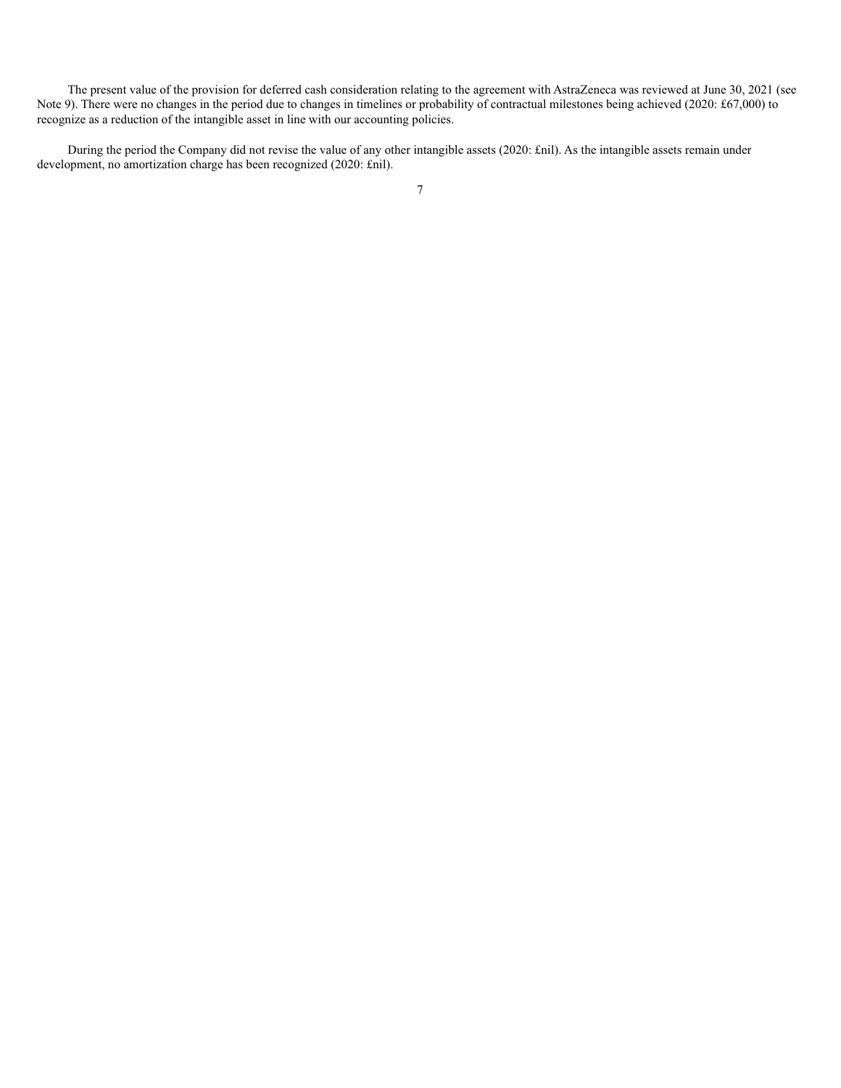The present value of the provision for deferred cash consideration relating to the agreement with AstraZeneca was reviewed at June 30, 2021 (see Note 9). There were no changes in the period due to changes in timelines or probability of contractual milestones being achieved (2020: £67,000) to recognize as a reduction of the intangible asset in line with our accounting policies.

During the period the Company did not revise the value of any other intangible assets (2020: £nil). As the intangible assets remain under development, no amortization charge has been recognized (2020: £nil).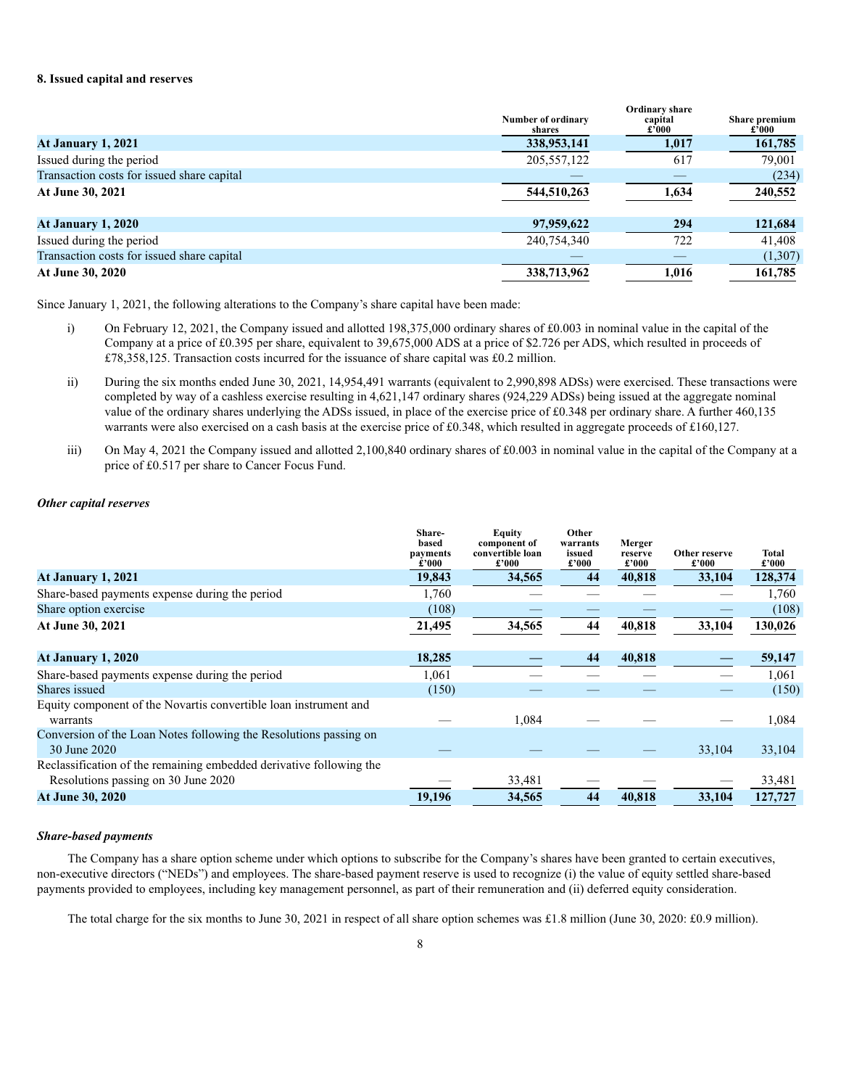#### **8. Issued capital and reserves**

|                                            | <b>Number of ordinary</b><br>shares | Ordinary share<br>capital<br>£'000 | Share premium<br>$\pounds 000$ |
|--------------------------------------------|-------------------------------------|------------------------------------|--------------------------------|
| At January 1, 2021                         | 338,953,141                         | 1,017                              | 161,785                        |
| Issued during the period                   | 205, 557, 122                       | 617                                | 79,001                         |
| Transaction costs for issued share capital |                                     |                                    | (234)                          |
| At June 30, 2021                           | 544,510,263                         | 1,634                              | 240,552                        |
| <b>At January 1, 2020</b>                  | 97,959,622                          | 294                                | 121,684                        |
| Issued during the period                   | 240,754,340                         | 722                                | 41,408                         |
| Transaction costs for issued share capital |                                     |                                    | (1,307)                        |
| At June 30, 2020                           | 338,713,962                         | 1,016                              | 161,785                        |

Since January 1, 2021, the following alterations to the Company's share capital have been made:

- i) On February 12, 2021, the Company issued and allotted 198,375,000 ordinary shares of £0.003 in nominal value in the capital of the Company at a price of £0.395 per share, equivalent to 39,675,000 ADS at a price of \$2.726 per ADS, which resulted in proceeds of £78,358,125. Transaction costs incurred for the issuance of share capital was £0.2 million.
- ii) During the six months ended June 30, 2021, 14,954,491 warrants (equivalent to 2,990,898 ADSs) were exercised. These transactions were completed by way of a cashless exercise resulting in 4,621,147 ordinary shares (924,229 ADSs) being issued at the aggregate nominal value of the ordinary shares underlying the ADSs issued, in place of the exercise price of £0.348 per ordinary share. A further 460,135 warrants were also exercised on a cash basis at the exercise price of £0.348, which resulted in aggregate proceeds of £160,127.
- iii) On May 4, 2021 the Company issued and allotted 2,100,840 ordinary shares of £0.003 in nominal value in the capital of the Company at a price of £0.517 per share to Cancer Focus Fund.

#### *Other capital reserves*

|                                                                                   | Share-<br>based<br>payments<br>$\pmb{\pmb{\mathfrak{e}^{\boldsymbol{\cdot}}}}\pmb{0}\pmb{0}\pmb{0}$ | <b>Equity</b><br>component of<br>convertible loan<br>£'000 | Other<br>warrants<br>issued<br>£'000 | Merger<br>reserve<br>$\pounds$ '000 | Other reserve<br>$\pounds 000$ | Total<br>$\pmb{\pounds}^{\,\prime}000$ |
|-----------------------------------------------------------------------------------|-----------------------------------------------------------------------------------------------------|------------------------------------------------------------|--------------------------------------|-------------------------------------|--------------------------------|----------------------------------------|
| <b>At January 1, 2021</b>                                                         | 19,843                                                                                              | 34,565                                                     | 44                                   | 40,818                              | 33,104                         | 128,374                                |
| Share-based payments expense during the period                                    | 1,760                                                                                               |                                                            |                                      |                                     |                                | 1,760                                  |
| Share option exercise                                                             | (108)                                                                                               |                                                            |                                      |                                     |                                | (108)                                  |
| At June 30, 2021                                                                  | 21,495                                                                                              | 34,565                                                     | 44                                   | 40,818                              | 33,104                         | 130,026                                |
| <b>At January 1, 2020</b>                                                         | 18,285                                                                                              |                                                            | 44                                   | 40,818                              |                                | 59,147                                 |
| Share-based payments expense during the period                                    | 1,061                                                                                               |                                                            |                                      |                                     |                                | 1,061                                  |
| Shares issued                                                                     | (150)                                                                                               |                                                            |                                      |                                     |                                | (150)                                  |
| Equity component of the Novartis convertible loan instrument and                  |                                                                                                     |                                                            |                                      |                                     |                                |                                        |
| warrants                                                                          |                                                                                                     | 1,084                                                      |                                      |                                     |                                | 1,084                                  |
| Conversion of the Loan Notes following the Resolutions passing on<br>30 June 2020 |                                                                                                     |                                                            |                                      |                                     | 33,104                         | 33,104                                 |
| Reclassification of the remaining embedded derivative following the               |                                                                                                     |                                                            |                                      |                                     |                                |                                        |
| Resolutions passing on 30 June 2020                                               |                                                                                                     | 33,481                                                     |                                      |                                     |                                | 33,481                                 |
| <b>At June 30, 2020</b>                                                           | 19,196                                                                                              | 34,565                                                     | 44                                   | 40,818                              | 33,104                         | 127,727                                |

#### *Share-based payments*

The Company has a share option scheme under which options to subscribe for the Company's shares have been granted to certain executives, non-executive directors ("NEDs") and employees. The share-based payment reserve is used to recognize (i) the value of equity settled share-based payments provided to employees, including key management personnel, as part of their remuneration and (ii) deferred equity consideration.

The total charge for the six months to June 30, 2021 in respect of all share option schemes was £1.8 million (June 30, 2020: £0.9 million).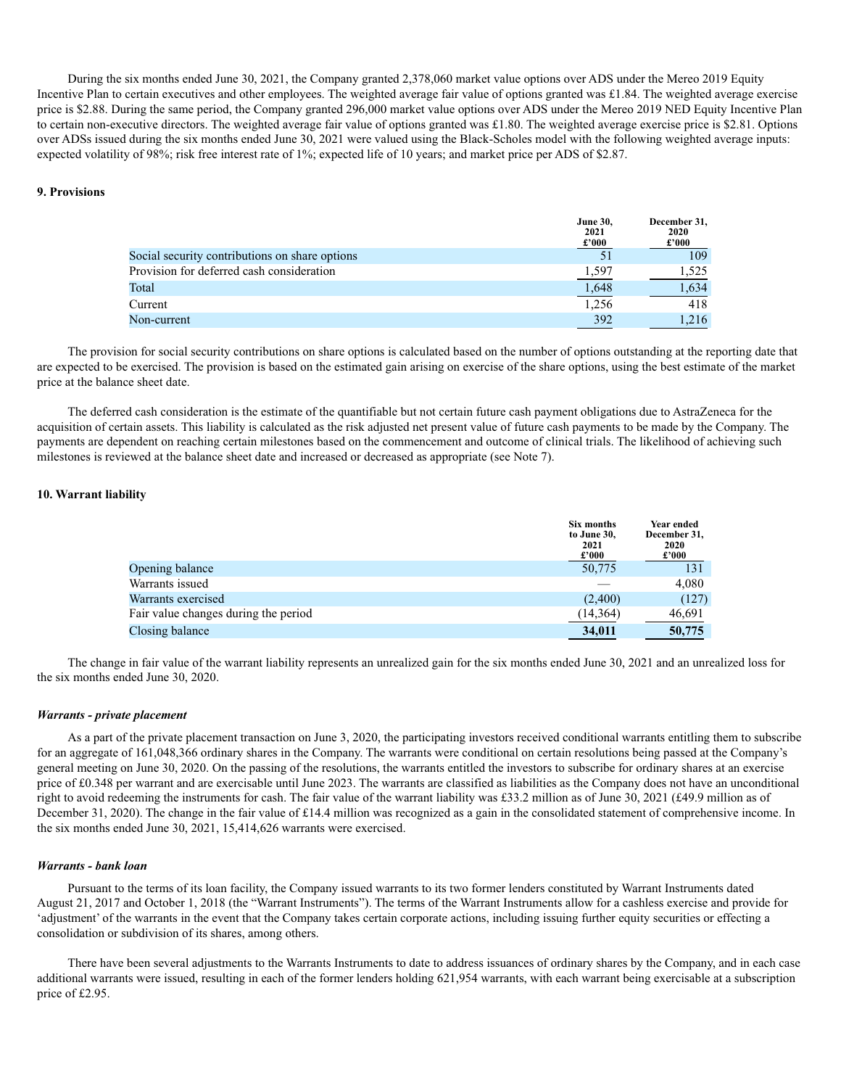During the six months ended June 30, 2021, the Company granted 2,378,060 market value options over ADS under the Mereo 2019 Equity Incentive Plan to certain executives and other employees. The weighted average fair value of options granted was £1.84. The weighted average exercise price is \$2.88. During the same period, the Company granted 296,000 market value options over ADS under the Mereo 2019 NED Equity Incentive Plan to certain non-executive directors. The weighted average fair value of options granted was £1.80. The weighted average exercise price is \$2.81. Options over ADSs issued during the six months ended June 30, 2021 were valued using the Black-Scholes model with the following weighted average inputs: expected volatility of 98%; risk free interest rate of 1%; expected life of 10 years; and market price per ADS of \$2.87.

#### **9. Provisions**

|                                                | <b>June 30,</b><br>2021<br>$\pounds 000$ | December 31,<br>2020<br>$\pounds 000$ |
|------------------------------------------------|------------------------------------------|---------------------------------------|
| Social security contributions on share options |                                          | 109                                   |
| Provision for deferred cash consideration      | 1,597                                    | 1.525                                 |
| Total                                          | 1,648                                    | 1,634                                 |
| Current                                        | 1,256                                    | 418                                   |
| Non-current                                    | 392                                      | 1.216                                 |

The provision for social security contributions on share options is calculated based on the number of options outstanding at the reporting date that are expected to be exercised. The provision is based on the estimated gain arising on exercise of the share options, using the best estimate of the market price at the balance sheet date.

The deferred cash consideration is the estimate of the quantifiable but not certain future cash payment obligations due to AstraZeneca for the acquisition of certain assets. This liability is calculated as the risk adjusted net present value of future cash payments to be made by the Company. The payments are dependent on reaching certain milestones based on the commencement and outcome of clinical trials. The likelihood of achieving such milestones is reviewed at the balance sheet date and increased or decreased as appropriate (see Note 7).

#### **10. Warrant liability**

|                                      | Six months<br>to June 30,<br>2021<br>$\pmb{\pounds}^{\pmb{\cdot}} 000$ | Year ended<br>December 31,<br>2020<br>$\pounds 000$ |
|--------------------------------------|------------------------------------------------------------------------|-----------------------------------------------------|
| Opening balance                      | 50,775                                                                 | 131                                                 |
| Warrants issued                      |                                                                        | 4,080                                               |
| Warrants exercised                   | (2,400)                                                                | (127)                                               |
| Fair value changes during the period | (14, 364)                                                              | 46,691                                              |
| Closing balance                      | 34,011                                                                 | 50,775                                              |

The change in fair value of the warrant liability represents an unrealized gain for the six months ended June 30, 2021 and an unrealized loss for the six months ended June 30, 2020.

#### *Warrants - private placement*

As a part of the private placement transaction on June 3, 2020, the participating investors received conditional warrants entitling them to subscribe for an aggregate of 161,048,366 ordinary shares in the Company. The warrants were conditional on certain resolutions being passed at the Company's general meeting on June 30, 2020. On the passing of the resolutions, the warrants entitled the investors to subscribe for ordinary shares at an exercise price of £0.348 per warrant and are exercisable until June 2023. The warrants are classified as liabilities as the Company does not have an unconditional right to avoid redeeming the instruments for cash. The fair value of the warrant liability was £33.2 million as of June 30, 2021 (£49.9 million as of December 31, 2020). The change in the fair value of £14.4 million was recognized as a gain in the consolidated statement of comprehensive income. In the six months ended June 30, 2021, 15,414,626 warrants were exercised.

#### *Warrants - bank loan*

Pursuant to the terms of its loan facility, the Company issued warrants to its two former lenders constituted by Warrant Instruments dated August 21, 2017 and October 1, 2018 (the "Warrant Instruments"). The terms of the Warrant Instruments allow for a cashless exercise and provide for 'adjustment' of the warrants in the event that the Company takes certain corporate actions, including issuing further equity securities or effecting a consolidation or subdivision of its shares, among others.

There have been several adjustments to the Warrants Instruments to date to address issuances of ordinary shares by the Company, and in each case additional warrants were issued, resulting in each of the former lenders holding 621,954 warrants, with each warrant being exercisable at a subscription price of £2.95.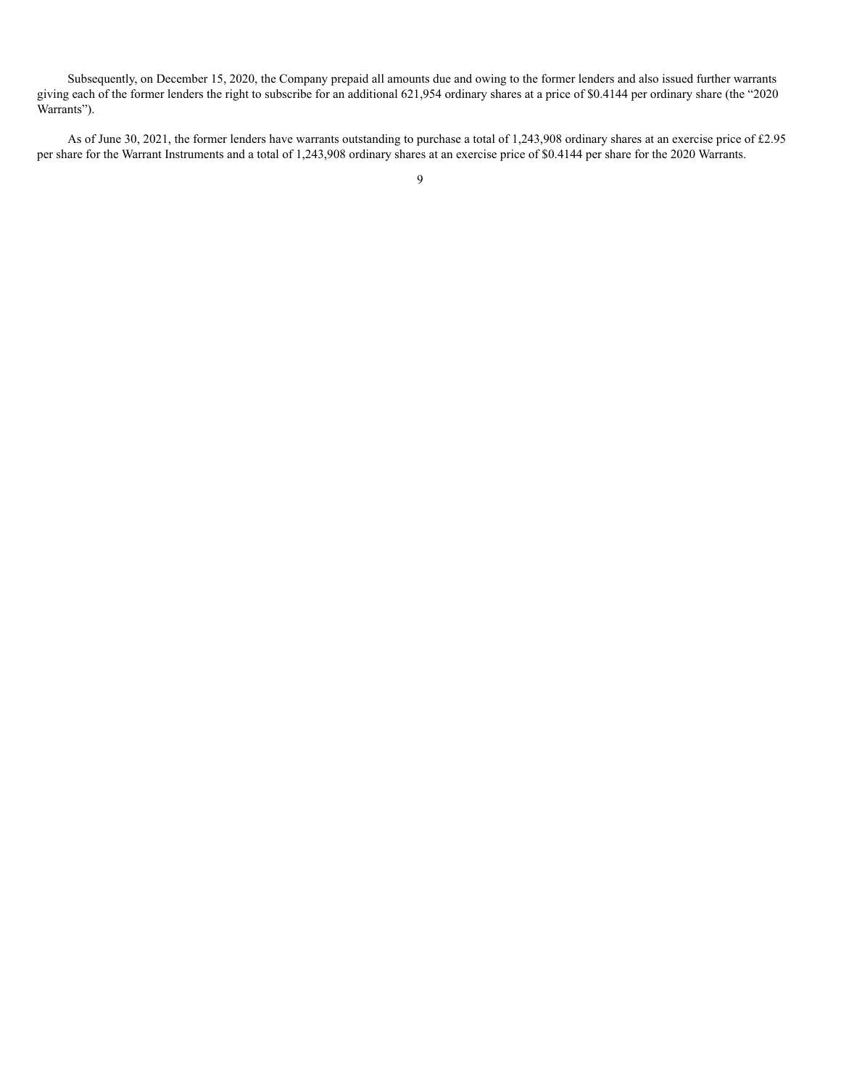Subsequently, on December 15, 2020, the Company prepaid all amounts due and owing to the former lenders and also issued further warrants giving each of the former lenders the right to subscribe for an additional 621,954 ordinary shares at a price of \$0.4144 per ordinary share (the "2020 Warrants").

As of June 30, 2021, the former lenders have warrants outstanding to purchase a total of 1,243,908 ordinary shares at an exercise price of £2.95 per share for the Warrant Instruments and a total of 1,243,908 ordinary shares at an exercise price of \$0.4144 per share for the 2020 Warrants.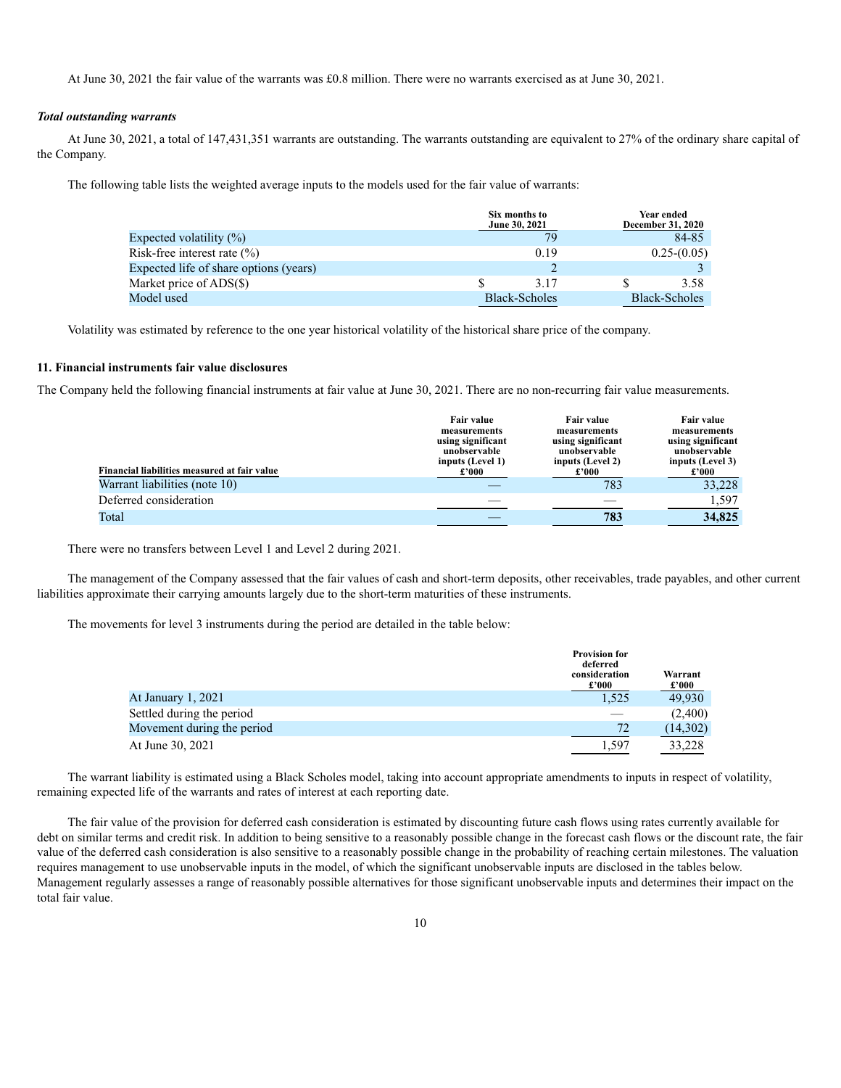At June 30, 2021 the fair value of the warrants was £0.8 million. There were no warrants exercised as at June 30, 2021.

#### *Total outstanding warrants*

At June 30, 2021, a total of 147,431,351 warrants are outstanding. The warrants outstanding are equivalent to 27% of the ordinary share capital of the Company.

The following table lists the weighted average inputs to the models used for the fair value of warrants:

|                                        | Six months to<br>June 30, 2021 | <b>Year ended</b><br>December 31, 2020 |
|----------------------------------------|--------------------------------|----------------------------------------|
| Expected volatility $(\%)$             | 79                             | 84-85                                  |
| Risk-free interest rate $\binom{0}{0}$ | 0.19                           | $0.25-(0.05)$                          |
| Expected life of share options (years) |                                |                                        |
| Market price of ADS(\$)                | 3.17                           | 3.58                                   |
| Model used                             | <b>Black-Scholes</b>           | <b>Black-Scholes</b>                   |

Volatility was estimated by reference to the one year historical volatility of the historical share price of the company.

#### **11. Financial instruments fair value disclosures**

The Company held the following financial instruments at fair value at June 30, 2021. There are no non-recurring fair value measurements.

| Financial liabilities measured at fair value | <b>Fair value</b><br>measurements<br>using significant<br>unobservable<br>inputs (Level 1)<br>£'000 | <b>Fair value</b><br>measurements<br>using significant<br>unobservable<br>inputs (Level 2)<br>£'000 | Fair value<br>measurements<br>using significant<br>unobservable<br>inputs (Level 3)<br>£'000 |
|----------------------------------------------|-----------------------------------------------------------------------------------------------------|-----------------------------------------------------------------------------------------------------|----------------------------------------------------------------------------------------------|
| Warrant liabilities (note 10)                |                                                                                                     | 783                                                                                                 | 33,228                                                                                       |
| Deferred consideration                       |                                                                                                     |                                                                                                     | 1.597                                                                                        |
| Total                                        |                                                                                                     | 783                                                                                                 | 34,825                                                                                       |

There were no transfers between Level 1 and Level 2 during 2021.

The management of the Company assessed that the fair values of cash and short-term deposits, other receivables, trade payables, and other current liabilities approximate their carrying amounts largely due to the short-term maturities of these instruments.

The movements for level 3 instruments during the period are detailed in the table below:

|                            | <b>Provision for</b><br>deferred<br>consideration<br>£'000 | Warrant<br>$\pounds 000$ |
|----------------------------|------------------------------------------------------------|--------------------------|
| At January 1, 2021         | 1.525                                                      | 49,930                   |
| Settled during the period  |                                                            | (2,400)                  |
| Movement during the period | 72                                                         | (14,302)                 |
| At June 30, 2021           | 1.597                                                      | 33.228                   |

The warrant liability is estimated using a Black Scholes model, taking into account appropriate amendments to inputs in respect of volatility, remaining expected life of the warrants and rates of interest at each reporting date.

The fair value of the provision for deferred cash consideration is estimated by discounting future cash flows using rates currently available for debt on similar terms and credit risk. In addition to being sensitive to a reasonably possible change in the forecast cash flows or the discount rate, the fair value of the deferred cash consideration is also sensitive to a reasonably possible change in the probability of reaching certain milestones. The valuation requires management to use unobservable inputs in the model, of which the significant unobservable inputs are disclosed in the tables below. Management regularly assesses a range of reasonably possible alternatives for those significant unobservable inputs and determines their impact on the total fair value.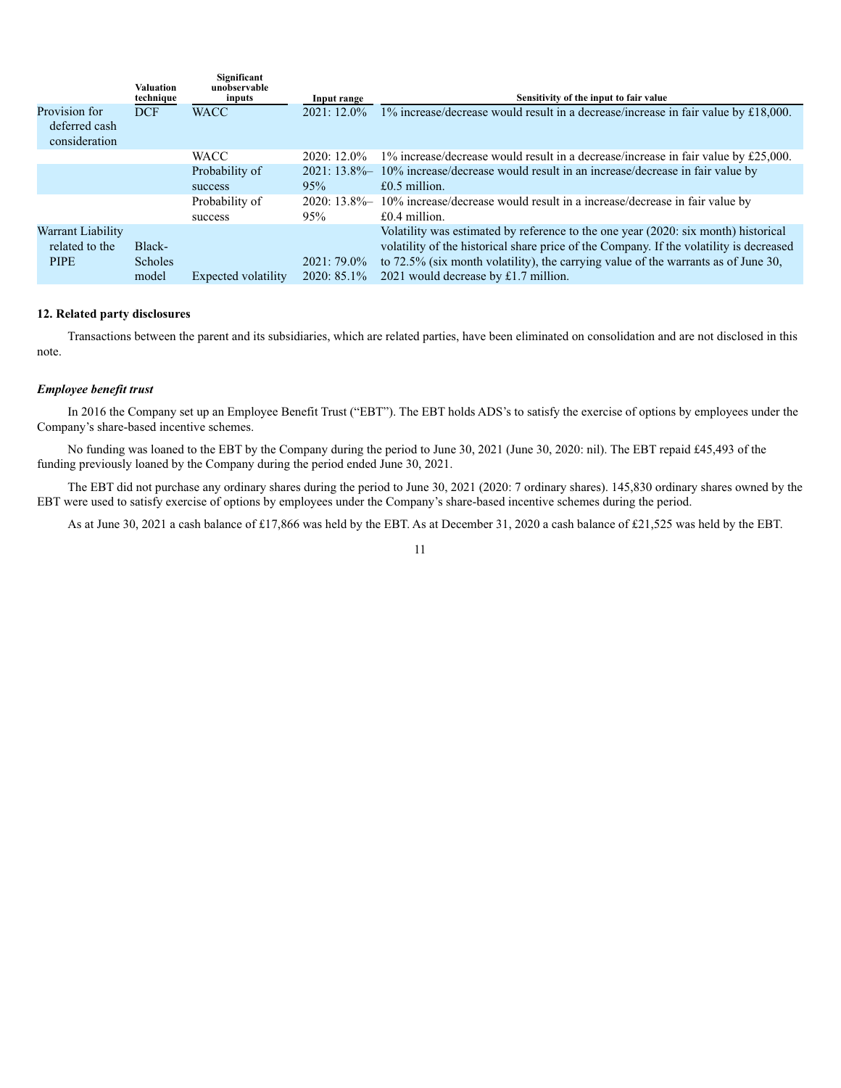|                                                 | <b>Valuation</b><br>technique | Significant<br>unobservable<br>inputs | Input range    | Sensitivity of the input to fair value                                                  |
|-------------------------------------------------|-------------------------------|---------------------------------------|----------------|-----------------------------------------------------------------------------------------|
| Provision for<br>deferred cash<br>consideration | <b>DCF</b>                    | <b>WACC</b>                           | $2021:12.0\%$  | $1\%$ increase/decrease would result in a decrease/increase in fair value by £18,000.   |
|                                                 |                               | <b>WACC</b>                           | 2020: 12.0%    | $1\%$ increase/decrease would result in a decrease/increase in fair value by £25,000.   |
|                                                 |                               | Probability of                        | $2021:13.8\%$  | 10% increase/decrease would result in an increase/decrease in fair value by             |
|                                                 |                               | success                               | 95%            | $£0.5$ million.                                                                         |
|                                                 |                               | Probability of                        | $2020:13.8\%$  | 10% increase/decrease would result in a increase/decrease in fair value by              |
|                                                 |                               | success                               | 95%            | $£0.4$ million.                                                                         |
| Warrant Liability                               |                               |                                       |                | Volatility was estimated by reference to the one year (2020: six month) historical      |
| related to the                                  | Black-                        |                                       |                | volatility of the historical share price of the Company. If the volatility is decreased |
| <b>PIPE</b>                                     | <b>Scholes</b>                |                                       | $2021:79.0\%$  | to 72.5% (six month volatility), the carrying value of the warrants as of June 30,      |
|                                                 | model                         | Expected volatility                   | $2020: 85.1\%$ | 2021 would decrease by £1.7 million.                                                    |

#### **12. Related party disclosures**

Transactions between the parent and its subsidiaries, which are related parties, have been eliminated on consolidation and are not disclosed in this note.

#### *Employee benefit trust*

In 2016 the Company set up an Employee Benefit Trust ("EBT"). The EBT holds ADS's to satisfy the exercise of options by employees under the Company's share-based incentive schemes.

No funding was loaned to the EBT by the Company during the period to June 30, 2021 (June 30, 2020: nil). The EBT repaid £45,493 of the funding previously loaned by the Company during the period ended June 30, 2021.

The EBT did not purchase any ordinary shares during the period to June 30, 2021 (2020: 7 ordinary shares). 145,830 ordinary shares owned by the EBT were used to satisfy exercise of options by employees under the Company's share-based incentive schemes during the period.

As at June 30, 2021 a cash balance of £17,866 was held by the EBT. As at December 31, 2020 a cash balance of £21,525 was held by the EBT.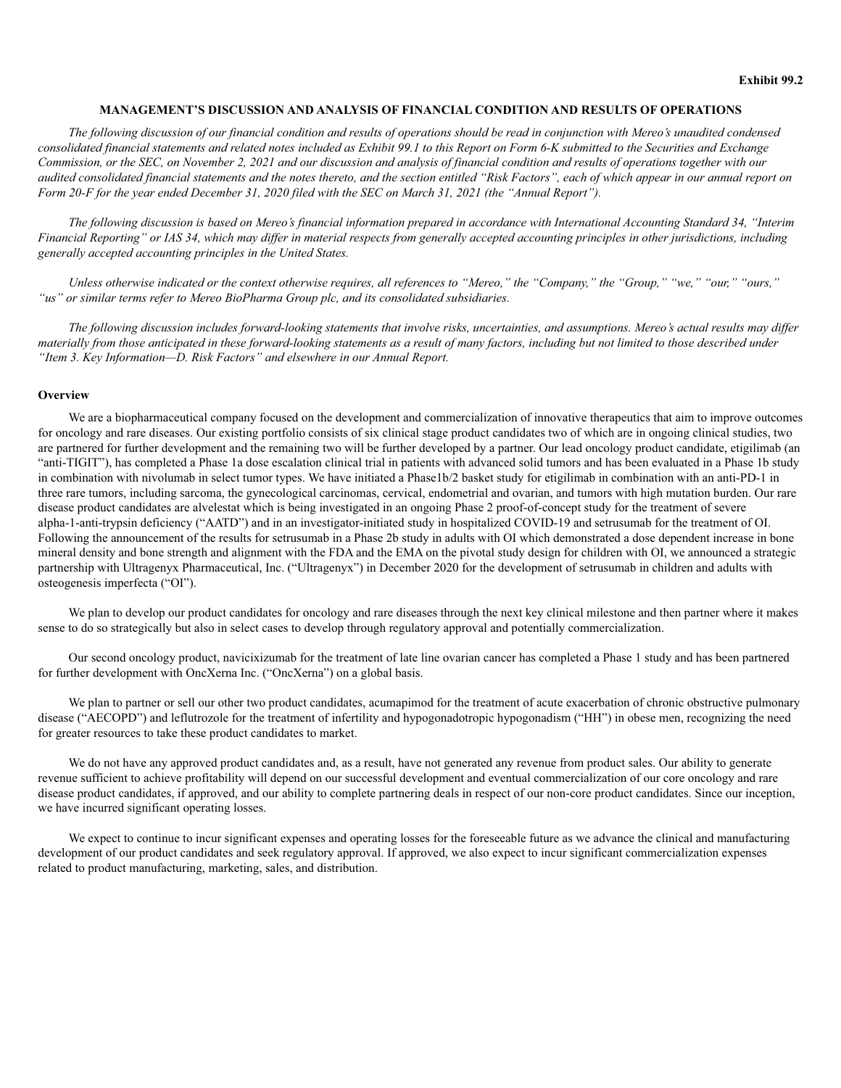#### **MANAGEMENT'S DISCUSSION AND ANALYSIS OF FINANCIAL CONDITION AND RESULTS OF OPERATIONS**

*The following discussion of our financial condition and results of operations should be read in conjunction with Mereo's unaudited condensed consolidated financial statements and related notes included as Exhibit 99.1 to this Report on Form 6-K submitted to the Securities and Exchange Commission, or the SEC, on November 2, 2021 and our discussion and analysis of financial condition and results of operations together with our audited consolidated financial statements and the notes thereto, and the section entitled "Risk Factors", each of which appear in our annual report on Form 20-F for the year ended December 31, 2020 filed with the SEC on March 31, 2021 (the "Annual Report").*

*The following discussion is based on Mereo's financial information prepared in accordance with International Accounting Standard 34, "Interim Financial Reporting" or IAS 34, which may differ in material respects from generally accepted accounting principles in other jurisdictions, including generally accepted accounting principles in the United States.*

*Unless otherwise indicated or the context otherwise requires, all references to "Mereo," the "Company," the "Group," "we," "our," "ours," "us" or similar terms refer to Mereo BioPharma Group plc, and its consolidated subsidiaries.*

*The following discussion includes forward-looking statements that involve risks, uncertainties, and assumptions. Mereo's actual results may differ materially from those anticipated in these forward-looking statements as a result of many factors, including but not limited to those described under "Item 3. Key Information—D. Risk Factors" and elsewhere in our Annual Report.*

#### **Overview**

We are a biopharmaceutical company focused on the development and commercialization of innovative therapeutics that aim to improve outcomes for oncology and rare diseases. Our existing portfolio consists of six clinical stage product candidates two of which are in ongoing clinical studies, two are partnered for further development and the remaining two will be further developed by a partner. Our lead oncology product candidate, etigilimab (an "anti-TIGIT"), has completed a Phase 1a dose escalation clinical trial in patients with advanced solid tumors and has been evaluated in a Phase 1b study in combination with nivolumab in select tumor types. We have initiated a Phase1b/2 basket study for etigilimab in combination with an anti-PD-1 in three rare tumors, including sarcoma, the gynecological carcinomas, cervical, endometrial and ovarian, and tumors with high mutation burden. Our rare disease product candidates are alvelestat which is being investigated in an ongoing Phase 2 proof-of-concept study for the treatment of severe alpha-1-anti-trypsin deficiency ("AATD") and in an investigator-initiated study in hospitalized COVID-19 and setrusumab for the treatment of OI. Following the announcement of the results for setrusumab in a Phase 2b study in adults with OI which demonstrated a dose dependent increase in bone mineral density and bone strength and alignment with the FDA and the EMA on the pivotal study design for children with OI, we announced a strategic partnership with Ultragenyx Pharmaceutical, Inc. ("Ultragenyx") in December 2020 for the development of setrusumab in children and adults with osteogenesis imperfecta ("OI").

We plan to develop our product candidates for oncology and rare diseases through the next key clinical milestone and then partner where it makes sense to do so strategically but also in select cases to develop through regulatory approval and potentially commercialization.

Our second oncology product, navicixizumab for the treatment of late line ovarian cancer has completed a Phase 1 study and has been partnered for further development with OncXerna Inc. ("OncXerna") on a global basis.

We plan to partner or sell our other two product candidates, acumapimod for the treatment of acute exacerbation of chronic obstructive pulmonary disease ("AECOPD") and leflutrozole for the treatment of infertility and hypogonadotropic hypogonadism ("HH") in obese men, recognizing the need for greater resources to take these product candidates to market.

We do not have any approved product candidates and, as a result, have not generated any revenue from product sales. Our ability to generate revenue sufficient to achieve profitability will depend on our successful development and eventual commercialization of our core oncology and rare disease product candidates, if approved, and our ability to complete partnering deals in respect of our non-core product candidates. Since our inception, we have incurred significant operating losses.

We expect to continue to incur significant expenses and operating losses for the foreseeable future as we advance the clinical and manufacturing development of our product candidates and seek regulatory approval. If approved, we also expect to incur significant commercialization expenses related to product manufacturing, marketing, sales, and distribution.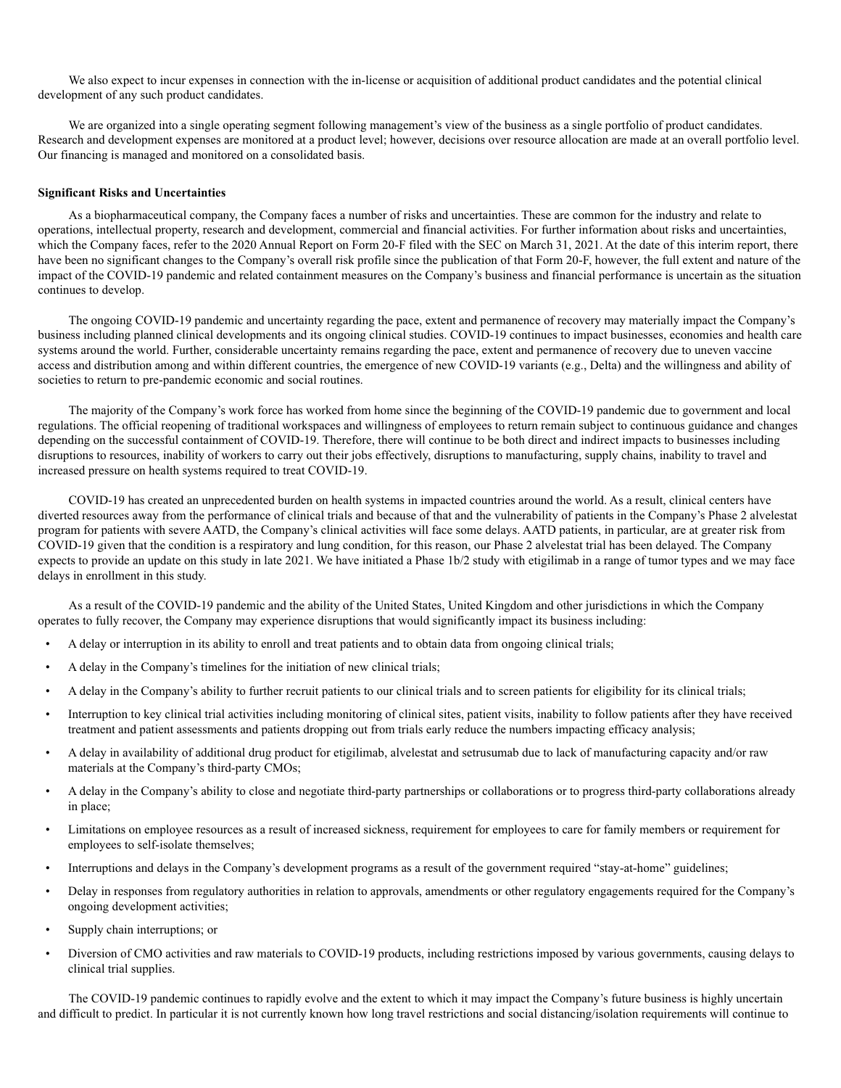We also expect to incur expenses in connection with the in-license or acquisition of additional product candidates and the potential clinical development of any such product candidates.

We are organized into a single operating segment following management's view of the business as a single portfolio of product candidates. Research and development expenses are monitored at a product level; however, decisions over resource allocation are made at an overall portfolio level. Our financing is managed and monitored on a consolidated basis.

#### **Significant Risks and Uncertainties**

As a biopharmaceutical company, the Company faces a number of risks and uncertainties. These are common for the industry and relate to operations, intellectual property, research and development, commercial and financial activities. For further information about risks and uncertainties, which the Company faces, refer to the 2020 Annual Report on Form 20-F filed with the SEC on March 31, 2021. At the date of this interim report, there have been no significant changes to the Company's overall risk profile since the publication of that Form 20-F, however, the full extent and nature of the impact of the COVID-19 pandemic and related containment measures on the Company's business and financial performance is uncertain as the situation continues to develop.

The ongoing COVID-19 pandemic and uncertainty regarding the pace, extent and permanence of recovery may materially impact the Company's business including planned clinical developments and its ongoing clinical studies. COVID-19 continues to impact businesses, economies and health care systems around the world. Further, considerable uncertainty remains regarding the pace, extent and permanence of recovery due to uneven vaccine access and distribution among and within different countries, the emergence of new COVID-19 variants (e.g., Delta) and the willingness and ability of societies to return to pre-pandemic economic and social routines.

The majority of the Company's work force has worked from home since the beginning of the COVID-19 pandemic due to government and local regulations. The official reopening of traditional workspaces and willingness of employees to return remain subject to continuous guidance and changes depending on the successful containment of COVID-19. Therefore, there will continue to be both direct and indirect impacts to businesses including disruptions to resources, inability of workers to carry out their jobs effectively, disruptions to manufacturing, supply chains, inability to travel and increased pressure on health systems required to treat COVID-19.

COVID-19 has created an unprecedented burden on health systems in impacted countries around the world. As a result, clinical centers have diverted resources away from the performance of clinical trials and because of that and the vulnerability of patients in the Company's Phase 2 alvelestat program for patients with severe AATD, the Company's clinical activities will face some delays. AATD patients, in particular, are at greater risk from COVID-19 given that the condition is a respiratory and lung condition, for this reason, our Phase 2 alvelestat trial has been delayed. The Company expects to provide an update on this study in late 2021. We have initiated a Phase 1b/2 study with etigilimab in a range of tumor types and we may face delays in enrollment in this study.

As a result of the COVID-19 pandemic and the ability of the United States, United Kingdom and other jurisdictions in which the Company operates to fully recover, the Company may experience disruptions that would significantly impact its business including:

- A delay or interruption in its ability to enroll and treat patients and to obtain data from ongoing clinical trials;
- A delay in the Company's timelines for the initiation of new clinical trials;
- A delay in the Company's ability to further recruit patients to our clinical trials and to screen patients for eligibility for its clinical trials;
- Interruption to key clinical trial activities including monitoring of clinical sites, patient visits, inability to follow patients after they have received treatment and patient assessments and patients dropping out from trials early reduce the numbers impacting efficacy analysis;
- A delay in availability of additional drug product for etigilimab, alvelestat and setrusumab due to lack of manufacturing capacity and/or raw materials at the Company's third-party CMOs;
- A delay in the Company's ability to close and negotiate third-party partnerships or collaborations or to progress third-party collaborations already in place;
- Limitations on employee resources as a result of increased sickness, requirement for employees to care for family members or requirement for employees to self-isolate themselves;
- Interruptions and delays in the Company's development programs as a result of the government required "stay-at-home" guidelines;
- Delay in responses from regulatory authorities in relation to approvals, amendments or other regulatory engagements required for the Company's ongoing development activities;
- Supply chain interruptions; or
- Diversion of CMO activities and raw materials to COVID-19 products, including restrictions imposed by various governments, causing delays to clinical trial supplies.

The COVID-19 pandemic continues to rapidly evolve and the extent to which it may impact the Company's future business is highly uncertain and difficult to predict. In particular it is not currently known how long travel restrictions and social distancing/isolation requirements will continue to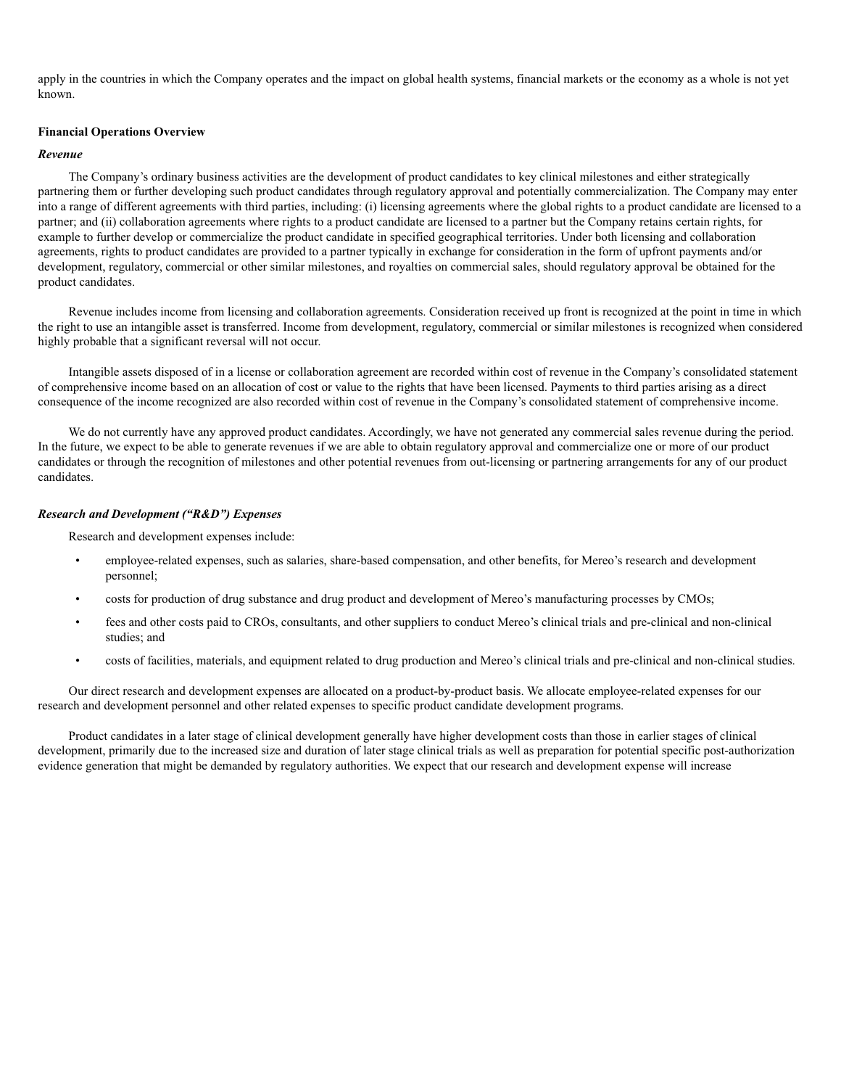apply in the countries in which the Company operates and the impact on global health systems, financial markets or the economy as a whole is not yet known.

### **Financial Operations Overview**

#### *Revenue*

The Company's ordinary business activities are the development of product candidates to key clinical milestones and either strategically partnering them or further developing such product candidates through regulatory approval and potentially commercialization. The Company may enter into a range of different agreements with third parties, including: (i) licensing agreements where the global rights to a product candidate are licensed to a partner; and (ii) collaboration agreements where rights to a product candidate are licensed to a partner but the Company retains certain rights, for example to further develop or commercialize the product candidate in specified geographical territories. Under both licensing and collaboration agreements, rights to product candidates are provided to a partner typically in exchange for consideration in the form of upfront payments and/or development, regulatory, commercial or other similar milestones, and royalties on commercial sales, should regulatory approval be obtained for the product candidates.

Revenue includes income from licensing and collaboration agreements. Consideration received up front is recognized at the point in time in which the right to use an intangible asset is transferred. Income from development, regulatory, commercial or similar milestones is recognized when considered highly probable that a significant reversal will not occur.

Intangible assets disposed of in a license or collaboration agreement are recorded within cost of revenue in the Company's consolidated statement of comprehensive income based on an allocation of cost or value to the rights that have been licensed. Payments to third parties arising as a direct consequence of the income recognized are also recorded within cost of revenue in the Company's consolidated statement of comprehensive income.

We do not currently have any approved product candidates. Accordingly, we have not generated any commercial sales revenue during the period. In the future, we expect to be able to generate revenues if we are able to obtain regulatory approval and commercialize one or more of our product candidates or through the recognition of milestones and other potential revenues from out-licensing or partnering arrangements for any of our product candidates.

#### *Research and Development ("R&D") Expenses*

Research and development expenses include:

- employee-related expenses, such as salaries, share-based compensation, and other benefits, for Mereo's research and development personnel;
- costs for production of drug substance and drug product and development of Mereo's manufacturing processes by CMOs;
- fees and other costs paid to CROs, consultants, and other suppliers to conduct Mereo's clinical trials and pre-clinical and non-clinical studies; and
- costs of facilities, materials, and equipment related to drug production and Mereo's clinical trials and pre-clinical and non-clinical studies.

Our direct research and development expenses are allocated on a product-by-product basis. We allocate employee-related expenses for our research and development personnel and other related expenses to specific product candidate development programs.

Product candidates in a later stage of clinical development generally have higher development costs than those in earlier stages of clinical development, primarily due to the increased size and duration of later stage clinical trials as well as preparation for potential specific post-authorization evidence generation that might be demanded by regulatory authorities. We expect that our research and development expense will increase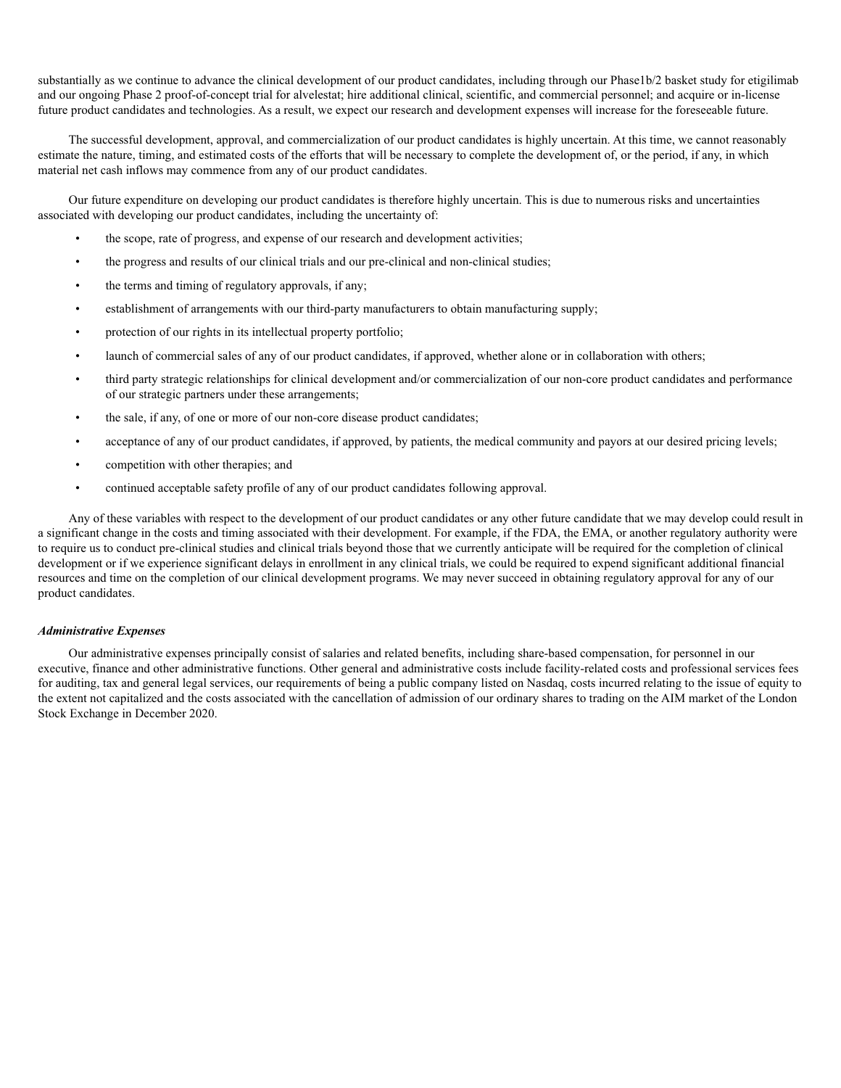substantially as we continue to advance the clinical development of our product candidates, including through our Phase1b/2 basket study for etigilimab and our ongoing Phase 2 proof-of-concept trial for alvelestat; hire additional clinical, scientific, and commercial personnel; and acquire or in-license future product candidates and technologies. As a result, we expect our research and development expenses will increase for the foreseeable future.

The successful development, approval, and commercialization of our product candidates is highly uncertain. At this time, we cannot reasonably estimate the nature, timing, and estimated costs of the efforts that will be necessary to complete the development of, or the period, if any, in which material net cash inflows may commence from any of our product candidates.

Our future expenditure on developing our product candidates is therefore highly uncertain. This is due to numerous risks and uncertainties associated with developing our product candidates, including the uncertainty of:

- the scope, rate of progress, and expense of our research and development activities;
- the progress and results of our clinical trials and our pre-clinical and non-clinical studies;
- the terms and timing of regulatory approvals, if any;
- establishment of arrangements with our third-party manufacturers to obtain manufacturing supply;
- protection of our rights in its intellectual property portfolio;
- launch of commercial sales of any of our product candidates, if approved, whether alone or in collaboration with others;
- third party strategic relationships for clinical development and/or commercialization of our non-core product candidates and performance of our strategic partners under these arrangements;
- the sale, if any, of one or more of our non-core disease product candidates;
- acceptance of any of our product candidates, if approved, by patients, the medical community and payors at our desired pricing levels;
- competition with other therapies; and
- continued acceptable safety profile of any of our product candidates following approval.

Any of these variables with respect to the development of our product candidates or any other future candidate that we may develop could result in a significant change in the costs and timing associated with their development. For example, if the FDA, the EMA, or another regulatory authority were to require us to conduct pre-clinical studies and clinical trials beyond those that we currently anticipate will be required for the completion of clinical development or if we experience significant delays in enrollment in any clinical trials, we could be required to expend significant additional financial resources and time on the completion of our clinical development programs. We may never succeed in obtaining regulatory approval for any of our product candidates.

#### *Administrative Expenses*

Our administrative expenses principally consist of salaries and related benefits, including share-based compensation, for personnel in our executive, finance and other administrative functions. Other general and administrative costs include facility-related costs and professional services fees for auditing, tax and general legal services, our requirements of being a public company listed on Nasdaq, costs incurred relating to the issue of equity to the extent not capitalized and the costs associated with the cancellation of admission of our ordinary shares to trading on the AIM market of the London Stock Exchange in December 2020.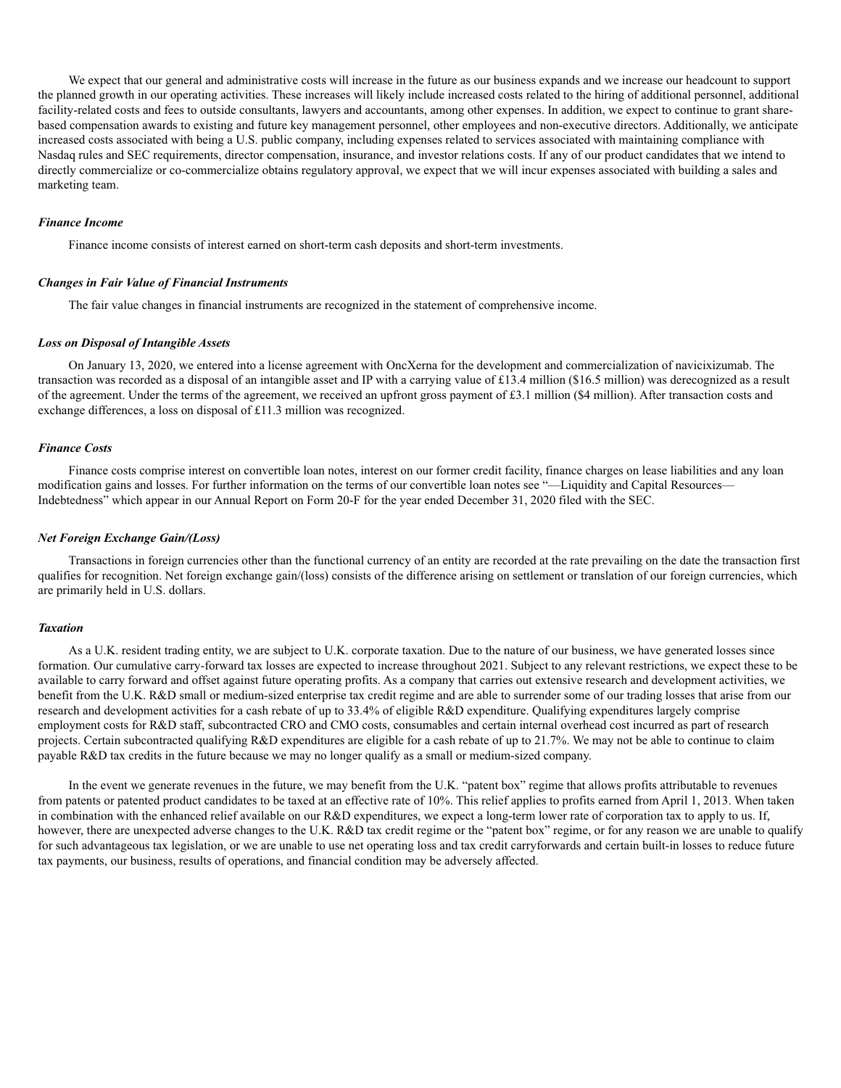We expect that our general and administrative costs will increase in the future as our business expands and we increase our headcount to support the planned growth in our operating activities. These increases will likely include increased costs related to the hiring of additional personnel, additional facility-related costs and fees to outside consultants, lawyers and accountants, among other expenses. In addition, we expect to continue to grant sharebased compensation awards to existing and future key management personnel, other employees and non-executive directors. Additionally, we anticipate increased costs associated with being a U.S. public company, including expenses related to services associated with maintaining compliance with Nasdaq rules and SEC requirements, director compensation, insurance, and investor relations costs. If any of our product candidates that we intend to directly commercialize or co-commercialize obtains regulatory approval, we expect that we will incur expenses associated with building a sales and marketing team.

#### *Finance Income*

Finance income consists of interest earned on short-term cash deposits and short-term investments.

#### *Changes in Fair Value of Financial Instruments*

The fair value changes in financial instruments are recognized in the statement of comprehensive income.

#### *Loss on Disposal of Intangible Assets*

On January 13, 2020, we entered into a license agreement with OncXerna for the development and commercialization of navicixizumab. The transaction was recorded as a disposal of an intangible asset and IP with a carrying value of £13.4 million (\$16.5 million) was derecognized as a result of the agreement. Under the terms of the agreement, we received an upfront gross payment of £3.1 million (\$4 million). After transaction costs and exchange differences, a loss on disposal of £11.3 million was recognized.

#### *Finance Costs*

Finance costs comprise interest on convertible loan notes, interest on our former credit facility, finance charges on lease liabilities and any loan modification gains and losses. For further information on the terms of our convertible loan notes see "—Liquidity and Capital Resources— Indebtedness" which appear in our Annual Report on Form 20-F for the year ended December 31, 2020 filed with the SEC.

#### *Net Foreign Exchange Gain/(Loss)*

Transactions in foreign currencies other than the functional currency of an entity are recorded at the rate prevailing on the date the transaction first qualifies for recognition. Net foreign exchange gain/(loss) consists of the difference arising on settlement or translation of our foreign currencies, which are primarily held in U.S. dollars.

#### *Taxation*

As a U.K. resident trading entity, we are subject to U.K. corporate taxation. Due to the nature of our business, we have generated losses since formation. Our cumulative carry-forward tax losses are expected to increase throughout 2021. Subject to any relevant restrictions, we expect these to be available to carry forward and offset against future operating profits. As a company that carries out extensive research and development activities, we benefit from the U.K. R&D small or medium-sized enterprise tax credit regime and are able to surrender some of our trading losses that arise from our research and development activities for a cash rebate of up to 33.4% of eligible R&D expenditure. Qualifying expenditures largely comprise employment costs for R&D staff, subcontracted CRO and CMO costs, consumables and certain internal overhead cost incurred as part of research projects. Certain subcontracted qualifying R&D expenditures are eligible for a cash rebate of up to 21.7%. We may not be able to continue to claim payable R&D tax credits in the future because we may no longer qualify as a small or medium-sized company.

In the event we generate revenues in the future, we may benefit from the U.K. "patent box" regime that allows profits attributable to revenues from patents or patented product candidates to be taxed at an effective rate of 10%. This relief applies to profits earned from April 1, 2013. When taken in combination with the enhanced relief available on our R&D expenditures, we expect a long-term lower rate of corporation tax to apply to us. If, however, there are unexpected adverse changes to the U.K. R&D tax credit regime or the "patent box" regime, or for any reason we are unable to qualify for such advantageous tax legislation, or we are unable to use net operating loss and tax credit carryforwards and certain built-in losses to reduce future tax payments, our business, results of operations, and financial condition may be adversely affected.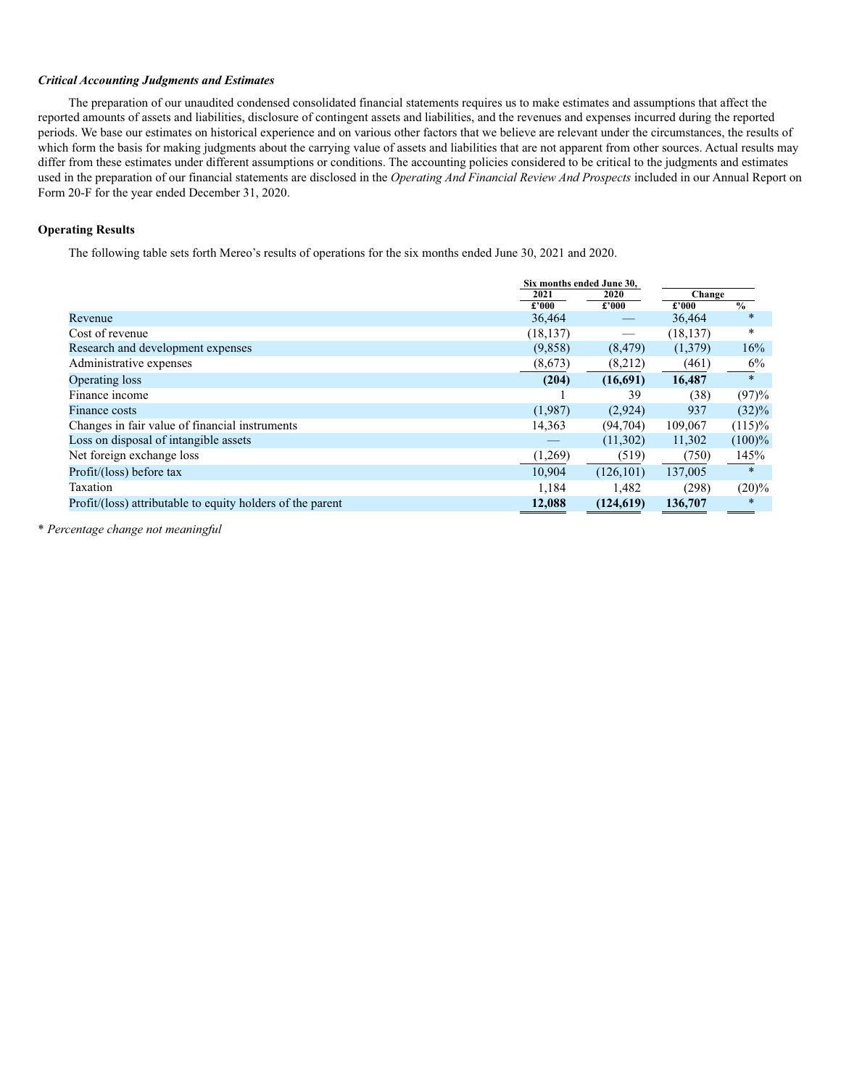#### *Critical Accounting Judgments and Estimates*

The preparation of our unaudited condensed consolidated financial statements requires us to make estimates and assumptions that affect the reported amounts of assets and liabilities, disclosure of contingent assets and liabilities, and the revenues and expenses incurred during the reported periods. We base our estimates on historical experience and on various other factors that we believe are relevant under the circumstances, the results of which form the basis for making judgments about the carrying value of assets and liabilities that are not apparent from other sources. Actual results may differ from these estimates under different assumptions or conditions. The accounting policies considered to be critical to the judgments and estimates used in the preparation of our financial statements are disclosed in the *Operating And Financial Review And Prospects* included in our Annual Report on Form 20-F for the year ended December 31, 2020.

#### **Operating Results**

The following table sets forth Mereo's results of operations for the six months ended June 30, 2021 and 2020.

|                                                            | Six months ended June 30, |            |           |               |  |
|------------------------------------------------------------|---------------------------|------------|-----------|---------------|--|
|                                                            | 2021                      | 2020       |           | Change        |  |
|                                                            | £2000                     | £2000      | £'000     | $\frac{0}{0}$ |  |
| Revenue                                                    | 36,464                    |            | 36,464    | $\ast$        |  |
| Cost of revenue                                            | (18, 137)                 |            | (18, 137) | $\ast$        |  |
| Research and development expenses                          | (9,858)                   | (8, 479)   | (1,379)   | 16%           |  |
| Administrative expenses                                    | (8,673)                   | (8,212)    | (461)     | $6\%$         |  |
| Operating loss                                             | (204)                     | (16,691)   | 16,487    | $\ast$        |  |
| Finance income                                             |                           | 39         | (38)      | (97)%         |  |
| Finance costs                                              | (1,987)                   | (2,924)    | 937       | $(32)\%$      |  |
| Changes in fair value of financial instruments             | 14,363                    | (94,704)   | 109,067   | $(115)\%$     |  |
| Loss on disposal of intangible assets                      |                           | (11,302)   | 11,302    | $(100)\%$     |  |
| Net foreign exchange loss                                  | (1,269)                   | (519)      | (750)     | 145%          |  |
| Profit/(loss) before tax                                   | 10.904                    | (126, 101) | 137,005   | $\ast$        |  |
| Taxation                                                   | 1,184                     | 1,482      | (298)     | $(20)\%$      |  |
| Profit/(loss) attributable to equity holders of the parent | 12,088                    | (124, 619) | 136,707   | $\ast$        |  |

\* *Percentage change not meaningful*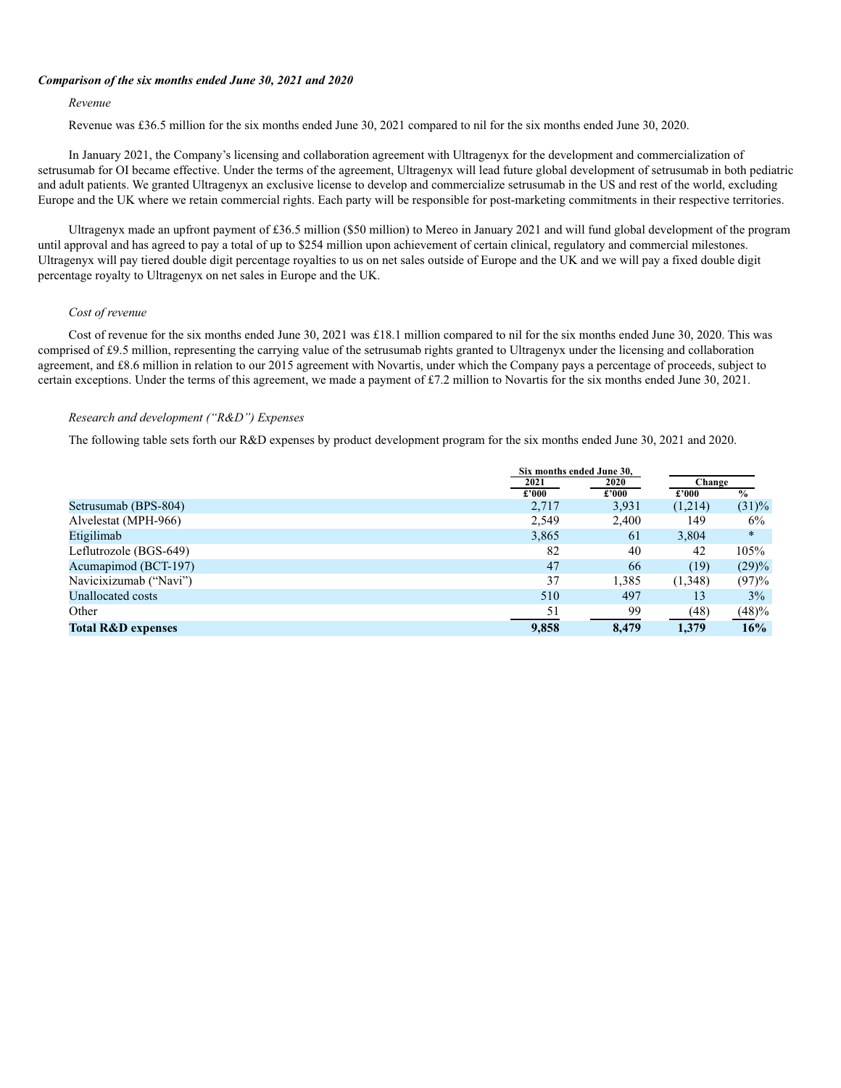#### *Comparison of the six months ended June 30, 2021 and 2020*

#### *Revenue*

Revenue was £36.5 million for the six months ended June 30, 2021 compared to nil for the six months ended June 30, 2020.

In January 2021, the Company's licensing and collaboration agreement with Ultragenyx for the development and commercialization of setrusumab for OI became effective. Under the terms of the agreement, Ultragenyx will lead future global development of setrusumab in both pediatric and adult patients. We granted Ultragenyx an exclusive license to develop and commercialize setrusumab in the US and rest of the world, excluding Europe and the UK where we retain commercial rights. Each party will be responsible for post-marketing commitments in their respective territories.

Ultragenyx made an upfront payment of £36.5 million (\$50 million) to Mereo in January 2021 and will fund global development of the program until approval and has agreed to pay a total of up to \$254 million upon achievement of certain clinical, regulatory and commercial milestones. Ultragenyx will pay tiered double digit percentage royalties to us on net sales outside of Europe and the UK and we will pay a fixed double digit percentage royalty to Ultragenyx on net sales in Europe and the UK.

#### *Cost of revenue*

Cost of revenue for the six months ended June 30, 2021 was £18.1 million compared to nil for the six months ended June 30, 2020. This was comprised of £9.5 million, representing the carrying value of the setrusumab rights granted to Ultragenyx under the licensing and collaboration agreement, and £8.6 million in relation to our 2015 agreement with Novartis, under which the Company pays a percentage of proceeds, subject to certain exceptions. Under the terms of this agreement, we made a payment of £7.2 million to Novartis for the six months ended June 30, 2021.

#### *Research and development ("R&D") Expenses*

The following table sets forth our R&D expenses by product development program for the six months ended June 30, 2021 and 2020.

|                               | Six months ended June 30. |       |         |               |
|-------------------------------|---------------------------|-------|---------|---------------|
|                               | 2021                      | 2020  | Change  |               |
|                               | £'000                     | £'000 | £'000   | $\frac{0}{0}$ |
| Setrusumab (BPS-804)          | 2,717                     | 3,931 | (1,214) | $(31)\%$      |
| Alvelestat (MPH-966)          | 2,549                     | 2,400 | 149     | $6\%$         |
| Etigilimab                    | 3,865                     | 61    | 3,804   | $\ast$        |
| Leflutrozole (BGS-649)        | 82                        | 40    | 42      | 105%          |
| Acumapimod (BCT-197)          | 47                        | 66    | (19)    | $(29)\%$      |
| Navicixizumab ("Navi")        | 37                        | 1,385 | (1,348) | (97)%         |
| Unallocated costs             | 510                       | 497   | 13      | $3\%$         |
| Other                         | 51                        | 99    | (48)    | (48)%         |
| <b>Total R&amp;D expenses</b> | 9,858                     | 8,479 | 1,379   | 16%           |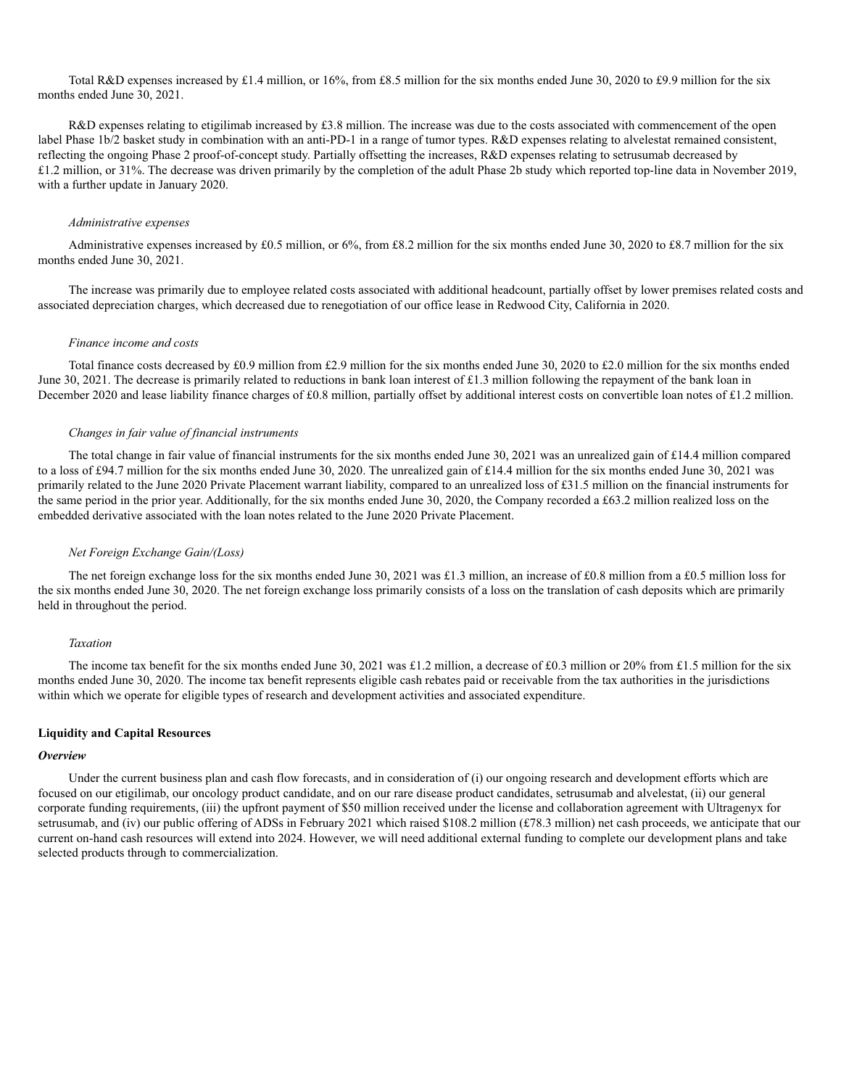Total R&D expenses increased by £1.4 million, or 16%, from £8.5 million for the six months ended June 30, 2020 to £9.9 million for the six months ended June 30, 2021.

R&D expenses relating to etigilimab increased by £3.8 million. The increase was due to the costs associated with commencement of the open label Phase 1b/2 basket study in combination with an anti-PD-1 in a range of tumor types. R&D expenses relating to alvelestat remained consistent, reflecting the ongoing Phase 2 proof-of-concept study. Partially offsetting the increases, R&D expenses relating to setrusumab decreased by £1.2 million, or 31%. The decrease was driven primarily by the completion of the adult Phase 2b study which reported top-line data in November 2019, with a further update in January 2020.

#### *Administrative expenses*

Administrative expenses increased by £0.5 million, or 6%, from £8.2 million for the six months ended June 30, 2020 to £8.7 million for the six months ended June 30, 2021.

The increase was primarily due to employee related costs associated with additional headcount, partially offset by lower premises related costs and associated depreciation charges, which decreased due to renegotiation of our office lease in Redwood City, California in 2020.

#### *Finance income and costs*

Total finance costs decreased by £0.9 million from £2.9 million for the six months ended June 30, 2020 to £2.0 million for the six months ended June 30, 2021. The decrease is primarily related to reductions in bank loan interest of £1.3 million following the repayment of the bank loan in December 2020 and lease liability finance charges of £0.8 million, partially offset by additional interest costs on convertible loan notes of £1.2 million.

#### *Changes in fair value of financial instruments*

The total change in fair value of financial instruments for the six months ended June 30, 2021 was an unrealized gain of £14.4 million compared to a loss of £94.7 million for the six months ended June 30, 2020. The unrealized gain of £14.4 million for the six months ended June 30, 2021 was primarily related to the June 2020 Private Placement warrant liability, compared to an unrealized loss of £31.5 million on the financial instruments for the same period in the prior year. Additionally, for the six months ended June 30, 2020, the Company recorded a £63.2 million realized loss on the embedded derivative associated with the loan notes related to the June 2020 Private Placement.

#### *Net Foreign Exchange Gain/(Loss)*

The net foreign exchange loss for the six months ended June 30, 2021 was £1.3 million, an increase of £0.8 million from a £0.5 million loss for the six months ended June 30, 2020. The net foreign exchange loss primarily consists of a loss on the translation of cash deposits which are primarily held in throughout the period.

#### *Taxation*

The income tax benefit for the six months ended June 30, 2021 was £1.2 million, a decrease of £0.3 million or 20% from £1.5 million for the six months ended June 30, 2020. The income tax benefit represents eligible cash rebates paid or receivable from the tax authorities in the jurisdictions within which we operate for eligible types of research and development activities and associated expenditure.

#### **Liquidity and Capital Resources**

#### *Overview*

Under the current business plan and cash flow forecasts, and in consideration of (i) our ongoing research and development efforts which are focused on our etigilimab, our oncology product candidate, and on our rare disease product candidates, setrusumab and alvelestat, (ii) our general corporate funding requirements, (iii) the upfront payment of \$50 million received under the license and collaboration agreement with Ultragenyx for setrusumab, and (iv) our public offering of ADSs in February 2021 which raised \$108.2 million (£78.3 million) net cash proceeds, we anticipate that our current on-hand cash resources will extend into 2024. However, we will need additional external funding to complete our development plans and take selected products through to commercialization.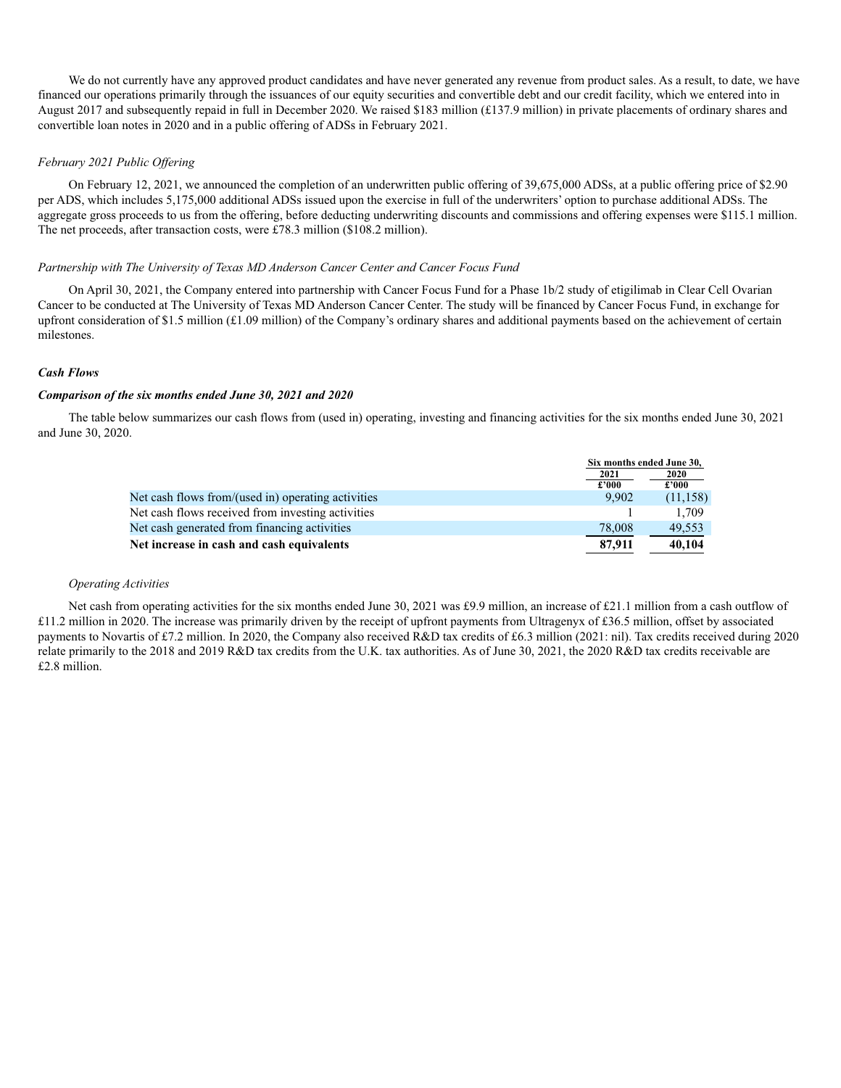We do not currently have any approved product candidates and have never generated any revenue from product sales. As a result, to date, we have financed our operations primarily through the issuances of our equity securities and convertible debt and our credit facility, which we entered into in August 2017 and subsequently repaid in full in December 2020. We raised \$183 million (£137.9 million) in private placements of ordinary shares and convertible loan notes in 2020 and in a public offering of ADSs in February 2021.

#### *February 2021 Public Offering*

On February 12, 2021, we announced the completion of an underwritten public offering of 39,675,000 ADSs, at a public offering price of \$2.90 per ADS, which includes 5,175,000 additional ADSs issued upon the exercise in full of the underwriters' option to purchase additional ADSs. The aggregate gross proceeds to us from the offering, before deducting underwriting discounts and commissions and offering expenses were \$115.1 million. The net proceeds, after transaction costs, were £78.3 million (\$108.2 million).

#### *Partnership with The University of Texas MD Anderson Cancer Center and Cancer Focus Fund*

On April 30, 2021, the Company entered into partnership with Cancer Focus Fund for a Phase 1b/2 study of etigilimab in Clear Cell Ovarian Cancer to be conducted at The University of Texas MD Anderson Cancer Center. The study will be financed by Cancer Focus Fund, in exchange for upfront consideration of \$1.5 million  $(f1.09 \text{ million})$  of the Company's ordinary shares and additional payments based on the achievement of certain milestones.

#### *Cash Flows*

#### *Comparison of the six months ended June 30, 2021 and 2020*

The table below summarizes our cash flows from (used in) operating, investing and financing activities for the six months ended June 30, 2021 and June 30, 2020.

|                                                    | Six months ended June 30, |           |  |
|----------------------------------------------------|---------------------------|-----------|--|
|                                                    | 2021                      | 2020      |  |
|                                                    | £'000                     | £2000     |  |
| Net cash flows from/(used in) operating activities | 9.902                     | (11, 158) |  |
| Net cash flows received from investing activities  |                           | 1.709     |  |
| Net cash generated from financing activities       | 78,008                    | 49.553    |  |
| Net increase in cash and cash equivalents          | 87,911                    | 40,104    |  |

#### *Operating Activities*

Net cash from operating activities for the six months ended June 30, 2021 was £9.9 million, an increase of £21.1 million from a cash outflow of £11.2 million in 2020. The increase was primarily driven by the receipt of upfront payments from Ultragenyx of £36.5 million, offset by associated payments to Novartis of £7.2 million. In 2020, the Company also received R&D tax credits of £6.3 million (2021: nil). Tax credits received during 2020 relate primarily to the 2018 and 2019 R&D tax credits from the U.K. tax authorities. As of June 30, 2021, the 2020 R&D tax credits receivable are £2.8 million.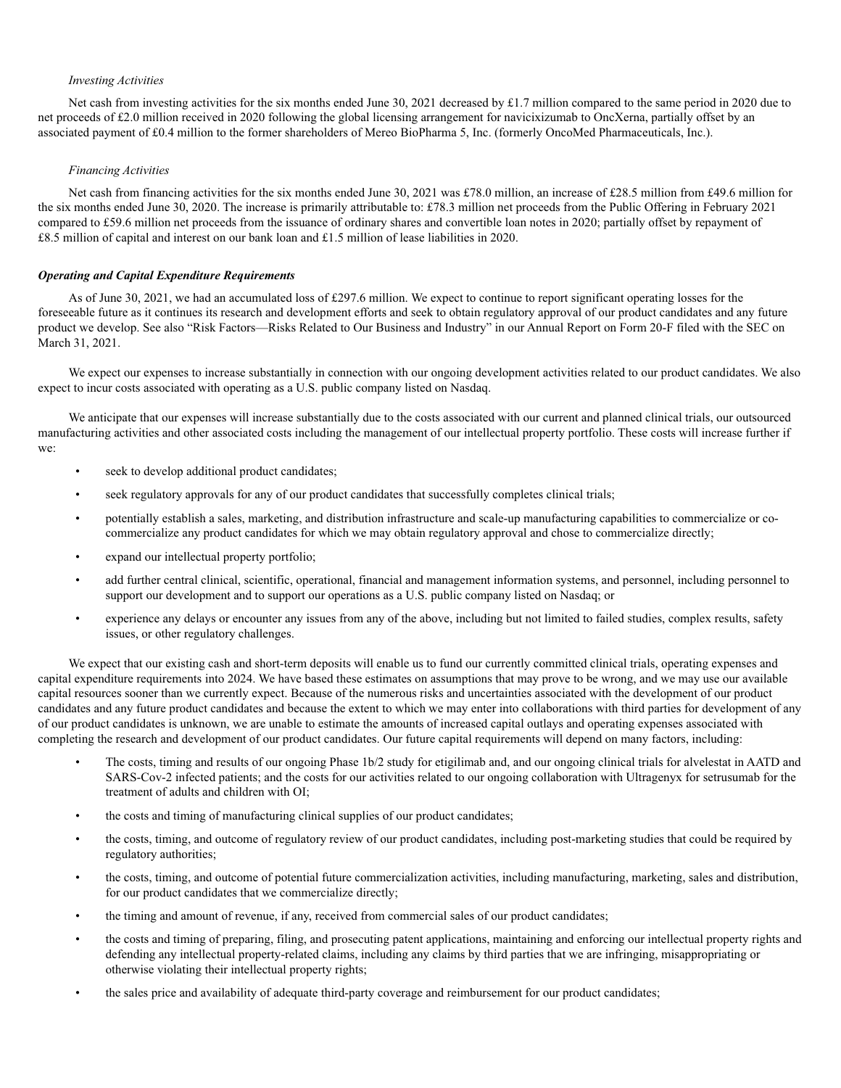#### *Investing Activities*

Net cash from investing activities for the six months ended June 30, 2021 decreased by £1.7 million compared to the same period in 2020 due to net proceeds of £2.0 million received in 2020 following the global licensing arrangement for navicixizumab to OncXerna, partially offset by an associated payment of £0.4 million to the former shareholders of Mereo BioPharma 5, Inc. (formerly OncoMed Pharmaceuticals, Inc.).

#### *Financing Activities*

Net cash from financing activities for the six months ended June 30, 2021 was £78.0 million, an increase of £28.5 million from £49.6 million for the six months ended June 30, 2020. The increase is primarily attributable to: £78.3 million net proceeds from the Public Offering in February 2021 compared to £59.6 million net proceeds from the issuance of ordinary shares and convertible loan notes in 2020; partially offset by repayment of £8.5 million of capital and interest on our bank loan and £1.5 million of lease liabilities in 2020.

#### *Operating and Capital Expenditure Requirements*

As of June 30, 2021, we had an accumulated loss of £297.6 million. We expect to continue to report significant operating losses for the foreseeable future as it continues its research and development efforts and seek to obtain regulatory approval of our product candidates and any future product we develop. See also "Risk Factors—Risks Related to Our Business and Industry" in our Annual Report on Form 20-F filed with the SEC on March 31, 2021.

We expect our expenses to increase substantially in connection with our ongoing development activities related to our product candidates. We also expect to incur costs associated with operating as a U.S. public company listed on Nasdaq.

We anticipate that our expenses will increase substantially due to the costs associated with our current and planned clinical trials, our outsourced manufacturing activities and other associated costs including the management of our intellectual property portfolio. These costs will increase further if we:

- seek to develop additional product candidates;
- seek regulatory approvals for any of our product candidates that successfully completes clinical trials;
- potentially establish a sales, marketing, and distribution infrastructure and scale-up manufacturing capabilities to commercialize or cocommercialize any product candidates for which we may obtain regulatory approval and chose to commercialize directly;
- expand our intellectual property portfolio;
- add further central clinical, scientific, operational, financial and management information systems, and personnel, including personnel to support our development and to support our operations as a U.S. public company listed on Nasdaq; or
- experience any delays or encounter any issues from any of the above, including but not limited to failed studies, complex results, safety issues, or other regulatory challenges.

We expect that our existing cash and short-term deposits will enable us to fund our currently committed clinical trials, operating expenses and capital expenditure requirements into 2024. We have based these estimates on assumptions that may prove to be wrong, and we may use our available capital resources sooner than we currently expect. Because of the numerous risks and uncertainties associated with the development of our product candidates and any future product candidates and because the extent to which we may enter into collaborations with third parties for development of any of our product candidates is unknown, we are unable to estimate the amounts of increased capital outlays and operating expenses associated with completing the research and development of our product candidates. Our future capital requirements will depend on many factors, including:

- The costs, timing and results of our ongoing Phase 1b/2 study for etigilimab and, and our ongoing clinical trials for alvelestat in AATD and SARS-Cov-2 infected patients; and the costs for our activities related to our ongoing collaboration with Ultragenyx for setrusumab for the treatment of adults and children with OI;
- the costs and timing of manufacturing clinical supplies of our product candidates;
- the costs, timing, and outcome of regulatory review of our product candidates, including post-marketing studies that could be required by regulatory authorities;
- the costs, timing, and outcome of potential future commercialization activities, including manufacturing, marketing, sales and distribution, for our product candidates that we commercialize directly;
- the timing and amount of revenue, if any, received from commercial sales of our product candidates;
- the costs and timing of preparing, filing, and prosecuting patent applications, maintaining and enforcing our intellectual property rights and defending any intellectual property-related claims, including any claims by third parties that we are infringing, misappropriating or otherwise violating their intellectual property rights;
- the sales price and availability of adequate third-party coverage and reimbursement for our product candidates;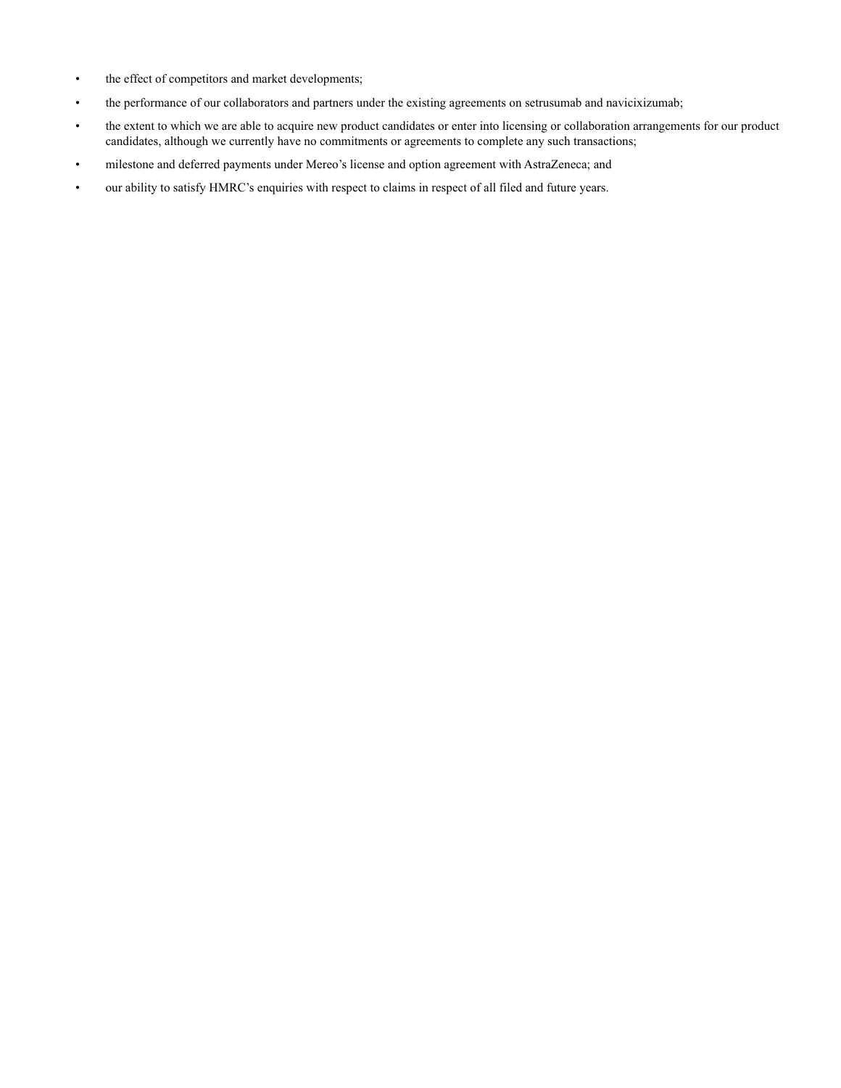- the effect of competitors and market developments;
- the performance of our collaborators and partners under the existing agreements on setrusumab and navicixizumab;
- the extent to which we are able to acquire new product candidates or enter into licensing or collaboration arrangements for our product candidates, although we currently have no commitments or agreements to complete any such transactions;
- milestone and deferred payments under Mereo's license and option agreement with AstraZeneca; and
- our ability to satisfy HMRC's enquiries with respect to claims in respect of all filed and future years.